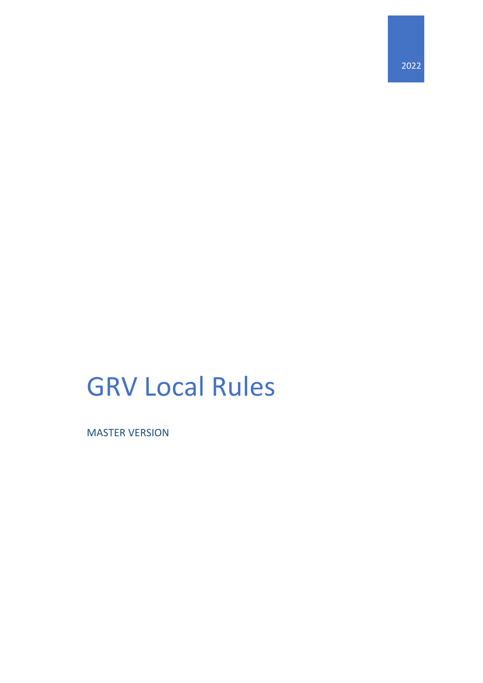2022

# GRV Local Rules

MASTER VERSION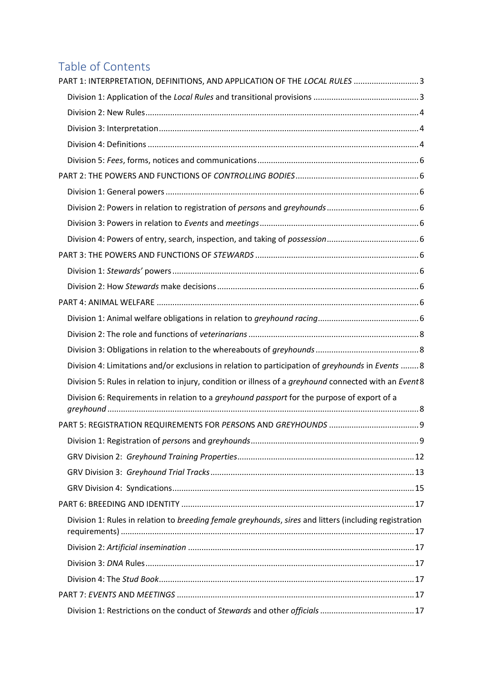# Table of Contents

| PART 1: INTERPRETATION, DEFINITIONS, AND APPLICATION OF THE LOCAL RULES 3                              |  |
|--------------------------------------------------------------------------------------------------------|--|
|                                                                                                        |  |
|                                                                                                        |  |
|                                                                                                        |  |
|                                                                                                        |  |
|                                                                                                        |  |
|                                                                                                        |  |
|                                                                                                        |  |
|                                                                                                        |  |
|                                                                                                        |  |
|                                                                                                        |  |
|                                                                                                        |  |
|                                                                                                        |  |
|                                                                                                        |  |
|                                                                                                        |  |
|                                                                                                        |  |
|                                                                                                        |  |
|                                                                                                        |  |
| Division 4: Limitations and/or exclusions in relation to participation of greyhounds in Events  8      |  |
| Division 5: Rules in relation to injury, condition or illness of a greyhound connected with an Event8  |  |
| Division 6: Requirements in relation to a <i>greyhound passport</i> for the purpose of export of a     |  |
|                                                                                                        |  |
|                                                                                                        |  |
|                                                                                                        |  |
|                                                                                                        |  |
|                                                                                                        |  |
|                                                                                                        |  |
| Division 1: Rules in relation to breeding female greyhounds, sires and litters (including registration |  |
|                                                                                                        |  |
|                                                                                                        |  |
|                                                                                                        |  |
|                                                                                                        |  |
|                                                                                                        |  |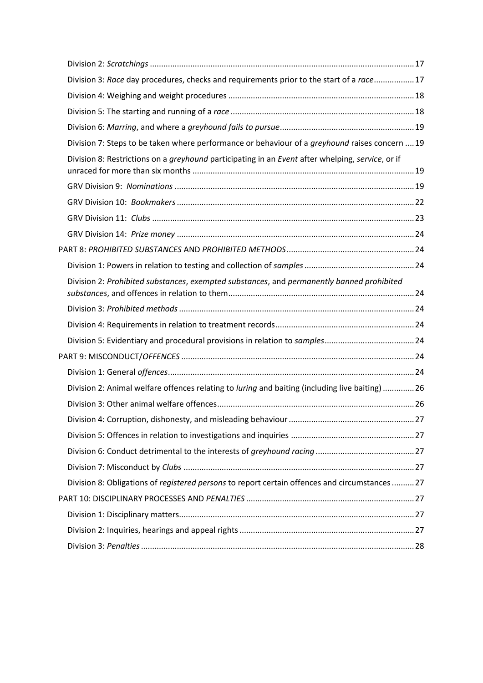| Division 3: Race day procedures, checks and requirements prior to the start of a race 17         |  |
|--------------------------------------------------------------------------------------------------|--|
|                                                                                                  |  |
|                                                                                                  |  |
|                                                                                                  |  |
| Division 7: Steps to be taken where performance or behaviour of a greyhound raises concern  19   |  |
| Division 8: Restrictions on a greyhound participating in an Event after whelping, service, or if |  |
|                                                                                                  |  |
|                                                                                                  |  |
|                                                                                                  |  |
|                                                                                                  |  |
|                                                                                                  |  |
|                                                                                                  |  |
| Division 2: Prohibited substances, exempted substances, and permanently banned prohibited        |  |
|                                                                                                  |  |
|                                                                                                  |  |
|                                                                                                  |  |
|                                                                                                  |  |
|                                                                                                  |  |
| Division 2: Animal welfare offences relating to luring and baiting (including live baiting)  26  |  |
|                                                                                                  |  |
|                                                                                                  |  |
|                                                                                                  |  |
|                                                                                                  |  |
|                                                                                                  |  |
| Division 8: Obligations of registered persons to report certain offences and circumstances 27    |  |
|                                                                                                  |  |
|                                                                                                  |  |
|                                                                                                  |  |
|                                                                                                  |  |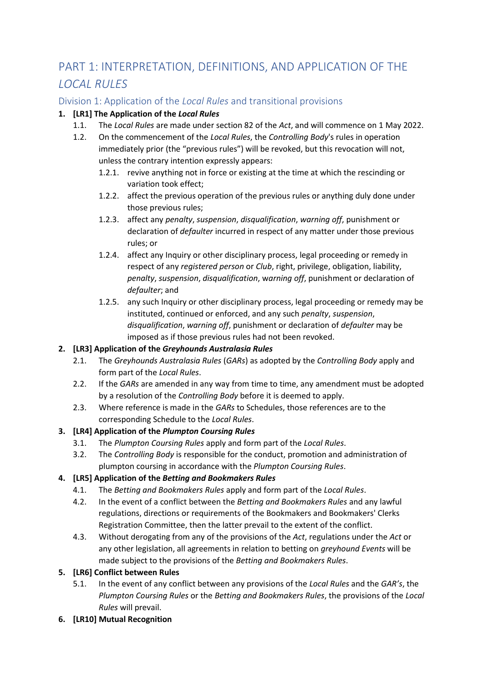# <span id="page-3-0"></span>PART 1: INTERPRETATION, DEFINITIONS, AND APPLICATION OF THE *LOCAL RULES*

## <span id="page-3-1"></span>Division 1: Application of the *Local Rules* and transitional provisions

#### **1. [LR1] The Application of the** *Local Rules*

- 1.1. The *Local Rules* are made under section 82 of the *Act*, and will commence on 1 May 2022.
- 1.2. On the commencement of the *Local Rules*, the *Controlling Body*'s rules in operation immediately prior (the "previous rules") will be revoked, but this revocation will not, unless the contrary intention expressly appears:
	- 1.2.1. revive anything not in force or existing at the time at which the rescinding or variation took effect;
	- 1.2.2. affect the previous operation of the previous rules or anything duly done under those previous rules;
	- 1.2.3. affect any *penalty*, *suspension*, *disqualification*, *warning off*, punishment or declaration of *defaulter* incurred in respect of any matter under those previous rules; or
	- 1.2.4. affect any Inquiry or other disciplinary process, legal proceeding or remedy in respect of any *registered person* or *Club*, right, privilege, obligation, liability, *penalty*, *suspension*, *disqualification*, w*arning off*, punishment or declaration of *defaulter*; and
	- 1.2.5. any such Inquiry or other disciplinary process, legal proceeding or remedy may be instituted, continued or enforced, and any such *penalty*, *suspension*, *disqualification*, *warning off*, punishment or declaration of *defaulter* may be imposed as if those previous rules had not been revoked.

#### **2. [LR3] Application of the** *Greyhounds Australasia Rules*

- 2.1. The *Greyhounds Australasia Rules* (*GARs*) as adopted by the *Controlling Body* apply and form part of the *Local Rules*.
- 2.2. If the *GARs* are amended in any way from time to time, any amendment must be adopted by a resolution of the *Controlling Body* before it is deemed to apply.
- 2.3. Where reference is made in the *GARs* to Schedules, those references are to the corresponding Schedule to the *Local Rules*.

#### **3. [LR4] Application of the** *Plumpton Coursing Rules*

- 3.1. The *Plumpton Coursing Rules* apply and form part of the *Local Rules*.
- 3.2. The *Controlling Body* is responsible for the conduct, promotion and administration of plumpton coursing in accordance with the *Plumpton Coursing Rules*.

#### **4. [LR5] Application of the** *Betting and Bookmakers Rules*

- 4.1. The *Betting and Bookmakers Rules* apply and form part of the *Local Rules*.
- 4.2. In the event of a conflict between the *Betting and Bookmakers Rules* and any lawful regulations, directions or requirements of the Bookmakers and Bookmakers' Clerks Registration Committee, then the latter prevail to the extent of the conflict.
- 4.3. Without derogating from any of the provisions of the *Act*, regulations under the *Act* or any other legislation, all agreements in relation to betting on *greyhound Events* will be made subject to the provisions of the *Betting and Bookmakers Rules*.

#### **5. [LR6] Conflict between Rules**

- 5.1. In the event of any conflict between any provisions of the *Local Rules* and the *GAR's*, the *Plumpton Coursing Rules* or the *Betting and Bookmakers Rules*, the provisions of the *Local Rules* will prevail.
- **6. [LR10] Mutual Recognition**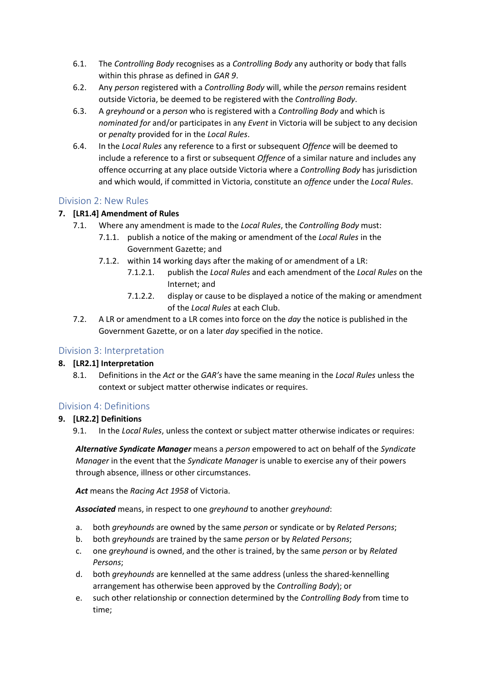- 6.1. The *Controlling Body* recognises as a *Controlling Body* any authority or body that falls within this phrase as defined in *GAR 9*.
- 6.2. Any *person* registered with a *Controlling Body* will, while the *person* remains resident outside Victoria, be deemed to be registered with the *Controlling Body*.
- 6.3. A *greyhound* or a *person* who is registered with a *Controlling Body* and which is *nominated for* and/or participates in any *Event* in Victoria will be subject to any decision or *penalty* provided for in the *Local Rules*.
- 6.4. In the *Local Rules* any reference to a first or subsequent *Offence* will be deemed to include a reference to a first or subsequent *Offence* of a similar nature and includes any offence occurring at any place outside Victoria where a *Controlling Body* has jurisdiction and which would, if committed in Victoria, constitute an *offence* under the *Local Rules*.

#### <span id="page-4-0"></span>Division 2: New Rules

#### **7. [LR1.4] Amendment of Rules**

- 7.1. Where any amendment is made to the *Local Rules*, the *Controlling Body* must:
	- 7.1.1. publish a notice of the making or amendment of the *Local Rules* in the Government Gazette; and
	- 7.1.2. within 14 working days after the making of or amendment of a LR:
		- 7.1.2.1. publish the *Local Rules* and each amendment of the *Local Rules* on the Internet; and
		- 7.1.2.2. display or cause to be displayed a notice of the making or amendment of the *Local Rules* at each Club.
- 7.2. A LR or amendment to a LR comes into force on the *day* the notice is published in the Government Gazette, or on a later *day* specified in the notice.

#### <span id="page-4-1"></span>Division 3: Interpretation

#### **8. [LR2.1] Interpretation**

8.1. Definitions in the *Act* or the *GAR's* have the same meaning in the *Local Rules* unless the context or subject matter otherwise indicates or requires.

#### <span id="page-4-2"></span>Division 4: Definitions

#### **9. [LR2.2] Definitions**

9.1. In the *Local Rules*, unless the context or subject matter otherwise indicates or requires:

*Alternative Syndicate Manager* means a *person* empowered to act on behalf of the *Syndicate Manager* in the event that the *Syndicate Manager* is unable to exercise any of their powers through absence, illness or other circumstances.

*Act* means the *Racing Act 1958* of Victoria.

*Associated* means, in respect to one *greyhound* to another *greyhound*:

- a. both *greyhounds* are owned by the same *person* or syndicate or by *Related Persons*;
- b. both *greyhounds* are trained by the same *person* or by *Related Persons*;
- c. one *greyhound* is owned, and the other is trained, by the same *person* or by *Related Persons*;
- d. both *greyhounds* are kennelled at the same address (unless the shared-kennelling arrangement has otherwise been approved by the *Controlling Body*); or
- e. such other relationship or connection determined by the *Controlling Body* from time to time;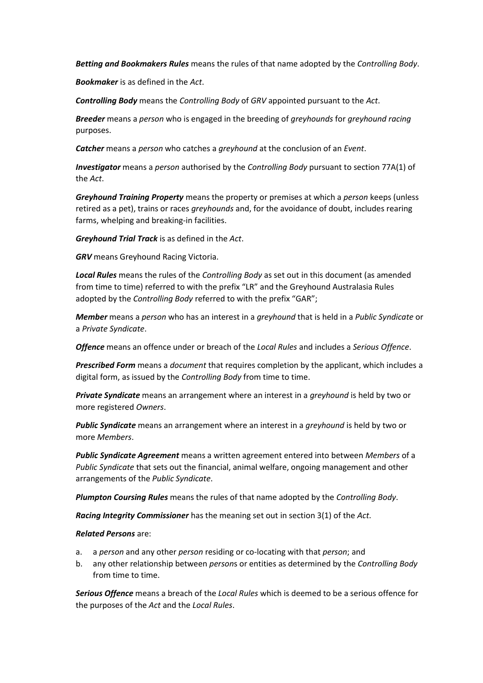*Betting and Bookmakers Rules* means the rules of that name adopted by the *Controlling Body*.

*Bookmaker* is as defined in the *Act*.

*Controlling Body* means the *Controlling Body* of *GRV* appointed pursuant to the *Act*.

*Breeder* means a *person* who is engaged in the breeding of *greyhounds* for *greyhound racing* purposes.

*Catcher* means a *person* who catches a *greyhound* at the conclusion of an *Event*.

*Investigator* means a *person* authorised by the *Controlling Body* pursuant to section 77A(1) of the *Act*.

*Greyhound Training Property* means the property or premises at which a *person* keeps (unless retired as a pet), trains or races *greyhounds* and, for the avoidance of doubt, includes rearing farms, whelping and breaking-in facilities.

*Greyhound Trial Track* is as defined in the *Act*.

*GRV* means Greyhound Racing Victoria.

*Local Rules* means the rules of the *Controlling Body* as set out in this document (as amended from time to time) referred to with the prefix "LR" and the Greyhound Australasia Rules adopted by the *Controlling Body* referred to with the prefix "GAR";

*Member* means a *person* who has an interest in a *greyhound* that is held in a *Public Syndicate* or a *Private Syndicate*.

*Offence* means an offence under or breach of the *Local Rules* and includes a *Serious Offence*.

*Prescribed Form* means a *document* that requires completion by the applicant, which includes a digital form, as issued by the *Controlling Body* from time to time.

*Private Syndicate* means an arrangement where an interest in a *greyhound* is held by two or more registered *Owners*.

*Public Syndicate* means an arrangement where an interest in a *greyhound* is held by two or more *Members*.

*Public Syndicate Agreement* means a written agreement entered into between *Members* of a *Public Syndicate* that sets out the financial, animal welfare, ongoing management and other arrangements of the *Public Syndicate*.

*Plumpton Coursing Rules* means the rules of that name adopted by the *Controlling Body*.

*Racing Integrity Commissioner* has the meaning set out in section 3(1) of the *Act*.

*Related Persons* are:

- a. a *person* and any other *person* residing or co-locating with that *person*; and
- b. any other relationship between *person*s or entities as determined by the *Controlling Body* from time to time.

*Serious Offence* means a breach of the *Local Rules* which is deemed to be a serious offence for the purposes of the *Act* and the *Local Rules*.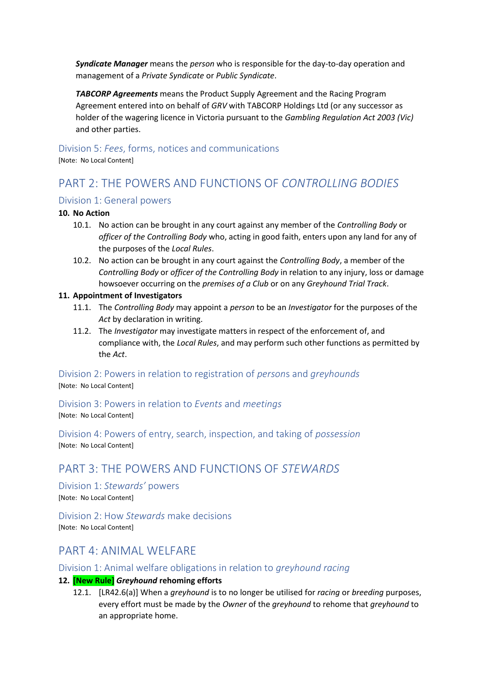*Syndicate Manager* means the *person* who is responsible for the day-to-day operation and management of a *Private Syndicate* or *Public Syndicate*.

*TABCORP Agreements* means the Product Supply Agreement and the Racing Program Agreement entered into on behalf of *GRV* with TABCORP Holdings Ltd (or any successor as holder of the wagering licence in Victoria pursuant to the *Gambling Regulation Act 2003 (Vic)* and other parties.

#### <span id="page-6-0"></span>Division 5: *Fees*, forms, notices and communications

[Note: No Local Content]

# <span id="page-6-1"></span>PART 2: THE POWERS AND FUNCTIONS OF *CONTROLLING BODIES*

#### <span id="page-6-2"></span>Division 1: General powers

#### **10. No Action**

- 10.1. No action can be brought in any court against any member of the *Controlling Body* or *officer of the Controlling Body* who, acting in good faith, enters upon any land for any of the purposes of the *Local Rules*.
- 10.2. No action can be brought in any court against the *Controlling Body*, a member of the *Controlling Body* or *officer of the Controlling Body* in relation to any injury, loss or damage howsoever occurring on the *premises of a Club* or on any *Greyhound Trial Track*.

#### **11. Appointment of Investigators**

- 11.1. The *Controlling Body* may appoint a *person* to be an *Investigator* for the purposes of the *Act* by declaration in writing.
- 11.2. The *Investigator* may investigate matters in respect of the enforcement of, and compliance with, the *Local Rules*, and may perform such other functions as permitted by the *Act*.

<span id="page-6-3"></span>Division 2: Powers in relation to registration of *person*s and *greyhounds* [Note: No Local Content]

<span id="page-6-4"></span>Division 3: Powers in relation to *Events* and *meetings*

[Note: No Local Content]

<span id="page-6-5"></span>Division 4: Powers of entry, search, inspection, and taking of *possession* [Note: No Local Content]

# <span id="page-6-6"></span>PART 3: THE POWERS AND FUNCTIONS OF *STEWARDS*

<span id="page-6-7"></span>Division 1: *Stewards'* powers [Note: No Local Content]

<span id="page-6-8"></span>Division 2: How *Stewards* make decisions [Note: No Local Content]

## <span id="page-6-9"></span>PART 4: ANIMAL WELFARE

#### <span id="page-6-10"></span>Division 1: Animal welfare obligations in relation to *greyhound racing*

#### <span id="page-6-12"></span><span id="page-6-11"></span>**12. [New Rule]** *Greyhound* **rehoming efforts**

12.1. [LR42.6(a)] When a *greyhound* is to no longer be utilised for *racing* or *breeding* purposes, every effort must be made by the *Owner* of the *greyhound* to rehome that *greyhound* to an appropriate home.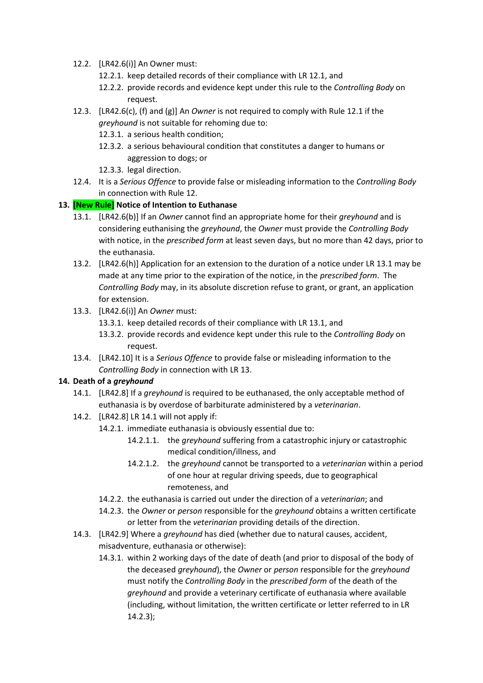- 12.2. [LR42.6(i)] An Owner must:
	- 12.2.1. keep detailed records of their compliance with LR [12.1,](#page-6-11) and
	- 12.2.2. provide records and evidence kept under this rule to the *Controlling Body* on request.
- 12.3. [LR42.6(c), (f) and (g)] An *Owner* is not required to comply with Rul[e 12.1](#page-6-11) if the *greyhound* is not suitable for rehoming due to:
	- 12.3.1. a serious health condition;
	- 12.3.2. a serious behavioural condition that constitutes a danger to humans or aggression to dogs; or
	- 12.3.3. legal direction.
- 12.4. It is a *Serious Offence* to provide false or misleading information to the *Controlling Body* in connection with Rul[e 12.](#page-6-12)

#### <span id="page-7-1"></span><span id="page-7-0"></span>**13. [New Rule] Notice of Intention to Euthanase**

- 13.1. [LR42.6(b)] If an *Owner* cannot find an appropriate home for their *greyhound* and is considering euthanising the *greyhound*, the *Owner* must provide the *Controlling Body* with notice, in the *prescribed form* at least seven days, but no more than 42 days, prior to the euthanasia.
- 13.2. [LR42.6(h)] Application for an extension to the duration of a notice under LR [13.1](#page-7-0) may be made at any time prior to the expiration of the notice, in the *prescribed form*. The *Controlling Body* may, in its absolute discretion refuse to grant, or grant, an application for extension.
- 13.3. [LR42.6(i)] An *Owner* must:
	- 13.3.1. keep detailed records of their compliance with LR [13.1,](#page-7-0) and
	- 13.3.2. provide records and evidence kept under this rule to the *Controlling Body* on request.
- 13.4. [LR42.10] It is a *Serious Offence* to provide false or misleading information to the *Controlling Body* in connection with LR [13.](#page-7-1)

#### <span id="page-7-5"></span><span id="page-7-2"></span>**14. Death of a** *greyhound*

- 14.1. [LR42.8] If a *greyhound* is required to be euthanased, the only acceptable method of euthanasia is by overdose of barbiturate administered by a *veterinarian*.
- 14.2. [LR42.8] LR [14.1](#page-7-2) will not apply if:
	- 14.2.1. immediate euthanasia is obviously essential due to:
		- 14.2.1.1. the *greyhound* suffering from a catastrophic injury or catastrophic medical condition/illness, and
		- 14.2.1.2. the *greyhound* cannot be transported to a *veterinarian* within a period of one hour at regular driving speeds, due to geographical remoteness, and
	- 14.2.2. the euthanasia is carried out under the direction of a *veterinarian*; and
	- 14.2.3. the *Owner* or *person* responsible for the *greyhound* obtains a written certificate or letter from the *veterinarian* providing details of the direction.
- <span id="page-7-4"></span><span id="page-7-3"></span>14.3. [LR42.9] Where a *greyhound* has died (whether due to natural causes, accident, misadventure, euthanasia or otherwise):
	- 14.3.1. within 2 working days of the date of death (and prior to disposal of the body of the deceased *greyhound*), the *Owner* or *person* responsible for the *greyhound* must notify the *Controlling Body* in the *prescribed form* of the death of the *greyhound* and provide a veterinary certificate of euthanasia where available (including, without limitation, the written certificate or letter referred to in LR [14.2.3\)](#page-7-3);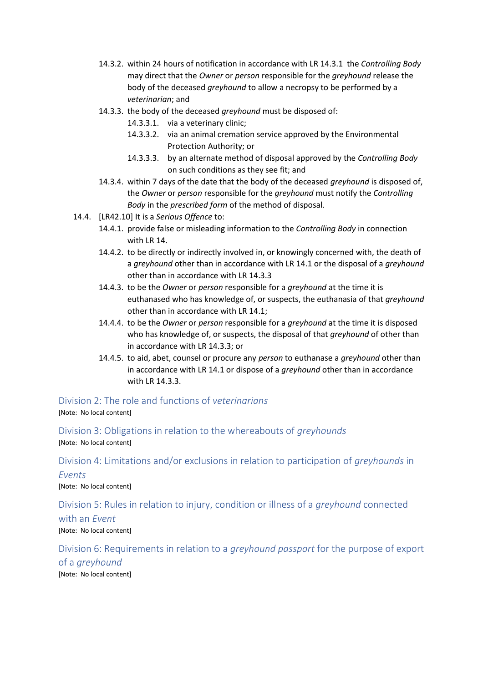- 14.3.2. within 24 hours of notification in accordance with LR [14.3.1](#page-7-4) the *Controlling Body*  may direct that the *Owner* or *person* responsible for the *greyhound* release the body of the deceased *greyhound* to allow a necropsy to be performed by a *veterinarian*; and
- <span id="page-8-5"></span>14.3.3. the body of the deceased *greyhound* must be disposed of:
	- 14.3.3.1. via a veterinary clinic;
	- 14.3.3.2. via an animal cremation service approved by the Environmental Protection Authority; or
	- 14.3.3.3. by an alternate method of disposal approved by the *Controlling Body* on such conditions as they see fit; and
- 14.3.4. within 7 days of the date that the body of the deceased *greyhound* is disposed of, the *Owner* or *person* responsible for the *greyhound* must notify the *Controlling Body* in the *prescribed form* of the method of disposal.
- 14.4. [LR42.10] It is a *Serious Offence* to:
	- 14.4.1. provide false or misleading information to the *Controlling Body* in connection with LR [14.](#page-7-5)
	- 14.4.2. to be directly or indirectly involved in, or knowingly concerned with, the death of a *greyhound* other than in accordance with LR [14.1](#page-7-2) or the disposal of a *greyhound* other than in accordance with LR [14.3.3](#page-8-5)
	- 14.4.3. to be the *Owner* or *person* responsible for a *greyhound* at the time it is euthanased who has knowledge of, or suspects, the euthanasia of that *greyhound* other than in accordance with LR [14.1;](#page-7-2)
	- 14.4.4. to be the *Owner* or *person* responsible for a *greyhound* at the time it is disposed who has knowledge of, or suspects, the disposal of that *greyhound* of other than in accordance with LR [14.3.3;](#page-8-5) or
	- 14.4.5. to aid, abet, counsel or procure any *person* to euthanase a *greyhound* other than in accordance with LR [14.1](#page-7-2) or dispose of a *greyhound* other than in accordance with LR [14.3.3.](#page-8-5)

# <span id="page-8-0"></span>Division 2: The role and functions of *veterinarians*

[Note: No local content]

<span id="page-8-1"></span>Division 3: Obligations in relation to the whereabouts of *greyhounds* [Note: No local content]

<span id="page-8-2"></span>Division 4: Limitations and/or exclusions in relation to participation of *greyhounds* in

# *Events*

[Note: No local content]

<span id="page-8-3"></span>Division 5: Rules in relation to injury, condition or illness of a *greyhound* connected with an *Event* 

[Note: No local content]

<span id="page-8-4"></span>Division 6: Requirements in relation to a *greyhound passport* for the purpose of export of a *greyhound* [Note: No local content]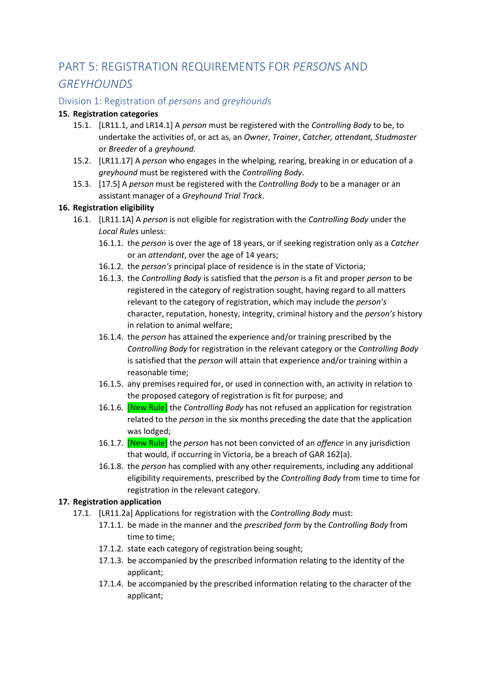# <span id="page-9-0"></span>PART 5: REGISTRATION REQUIREMENTS FOR *PERSON*S AND *GREYHOUNDS*

#### <span id="page-9-1"></span>Division 1: Registration of *person*s and *greyhounds*

#### **15. Registration categories**

- 15.1. [LR11.1, and LR14.1] A *person* must be registered with the *Controlling Body* to be, to undertake the activities of, or act as, an *Owner*, *Trainer*, *Catcher, attendant, Studmaster*  or *Breeder* of a *greyhound*.
- 15.2. [LR11.17] A *person* who engages in the whelping, rearing, breaking in or education of a *greyhound* must be registered with the *Controlling Body*.
- 15.3. [17.5] A *person* must be registered with the *Controlling Body* to be a manager or an assistant manager of a *Greyhound Trial Track*.

#### **16. Registration eligibility**

- 16.1. [LR11.1A] A *person* is not eligible for registration with the *Controlling Body* under the *Local Rules* unless:
	- 16.1.1. the *person* is over the age of 18 years, or if seeking registration only as a *Catcher* or an *attendant*, over the age of 14 years;
	- 16.1.2. the *person's* principal place of residence is in the state of Victoria;
	- 16.1.3. the *Controlling Body* is satisfied that the *person* is a fit and proper *person* to be registered in the category of registration sought, having regard to all matters relevant to the category of registration, which may include the *person's* character, reputation, honesty, integrity, criminal history and the *person's* history in relation to animal welfare;
	- 16.1.4. the *person* has attained the experience and/or training prescribed by the *Controlling Body* for registration in the relevant category or the *Controlling Body* is satisfied that the *person* will attain that experience and/or training within a reasonable time;
	- 16.1.5. any premises required for, or used in connection with, an activity in relation to the proposed category of registration is fit for purpose; and
	- 16.1.6. [New Rule] the *Controlling Body* has not refused an application for registration related to the *person* in the six months preceding the date that the application was lodged;
	- 16.1.7. [New Rule] the *person* has not been convicted of an *offence* in any jurisdiction that would, if occurring in Victoria, be a breach of GAR 162(a).
	- 16.1.8. the *person* has complied with any other requirements, including any additional eligibility requirements, prescribed by the *Controlling Body* from time to time for registration in the relevant category.

#### **17. Registration application**

- 17.1. [LR11.2a] Applications for registration with the *Controlling Body* must:
	- 17.1.1. be made in the manner and the *prescribed form* by the *Controlling Body* from time to time;
	- 17.1.2. state each category of registration being sought;
	- 17.1.3. be accompanied by the prescribed information relating to the identity of the applicant;
	- 17.1.4. be accompanied by the prescribed information relating to the character of the applicant;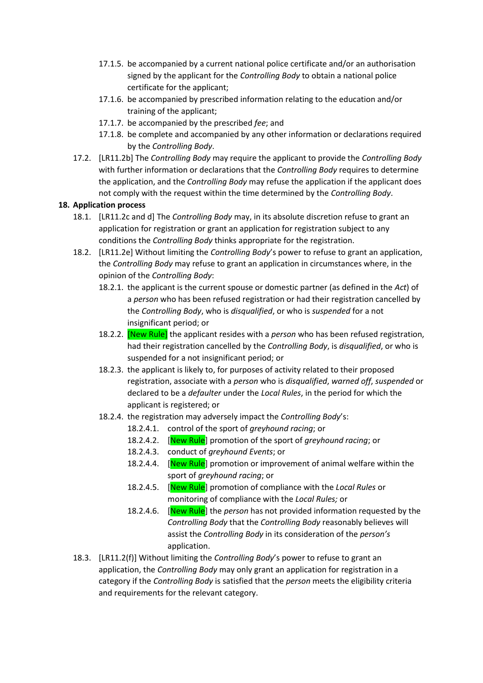- 17.1.5. be accompanied by a current national police certificate and/or an authorisation signed by the applicant for the *Controlling Body* to obtain a national police certificate for the applicant;
- 17.1.6. be accompanied by prescribed information relating to the education and/or training of the applicant;
- 17.1.7. be accompanied by the prescribed *fee*; and
- 17.1.8. be complete and accompanied by any other information or declarations required by the *Controlling Body*.
- 17.2. [LR11.2b] The *Controlling Body* may require the applicant to provide the *Controlling Body* with further information or declarations that the *Controlling Body* requires to determine the application, and the *Controlling Body* may refuse the application if the applicant does not comply with the request within the time determined by the *Controlling Body*.

#### **18. Application process**

- 18.1. [LR11.2c and d] The *Controlling Body* may, in its absolute discretion refuse to grant an application for registration or grant an application for registration subject to any conditions the *Controlling Body* thinks appropriate for the registration.
- 18.2. [LR11.2e] Without limiting the *Controlling Body*'s power to refuse to grant an application, the *Controlling Body* may refuse to grant an application in circumstances where, in the opinion of the *Controlling Body*:
	- 18.2.1. the applicant is the current spouse or domestic partner (as defined in the *Act*) of a *person* who has been refused registration or had their registration cancelled by the *Controlling Body*, who is *disqualified*, or who is *suspended* for a not insignificant period; or
	- 18.2.2. [New Rule] the applicant resides with a *person* who has been refused registration, had their registration cancelled by the *Controlling Body*, is *disqualified*, or who is suspended for a not insignificant period; or
	- 18.2.3. the applicant is likely to, for purposes of activity related to their proposed registration, associate with a *person* who is *disqualified*, *warned off*, *suspended* or declared to be a *defaulter* under the *Local Rules*, in the period for which the applicant is registered; or
	- 18.2.4. the registration may adversely impact the *Controlling Body*'s:
		- 18.2.4.1. control of the sport of *greyhound racing*; or
		- 18.2.4.2. [New Rule] promotion of the sport of *greyhound racing*; or
		- 18.2.4.3. conduct of *greyhound Events*; or
		- 18.2.4.4. [New Rule] promotion or improvement of animal welfare within the sport of *greyhound racing*; or
		- 18.2.4.5. [New Rule] promotion of compliance with the *Local Rules* or monitoring of compliance with the *Local Rules;* or
		- 18.2.4.6. [New Rule] the *person* has not provided information requested by the *Controlling Body* that the *Controlling Body* reasonably believes will assist the *Controlling Body* in its consideration of the *person's* application.
- 18.3. [LR11.2(f)] Without limiting the *Controlling Body*'s power to refuse to grant an application, the *Controlling Body* may only grant an application for registration in a category if the *Controlling Body* is satisfied that the *person* meets the eligibility criteria and requirements for the relevant category.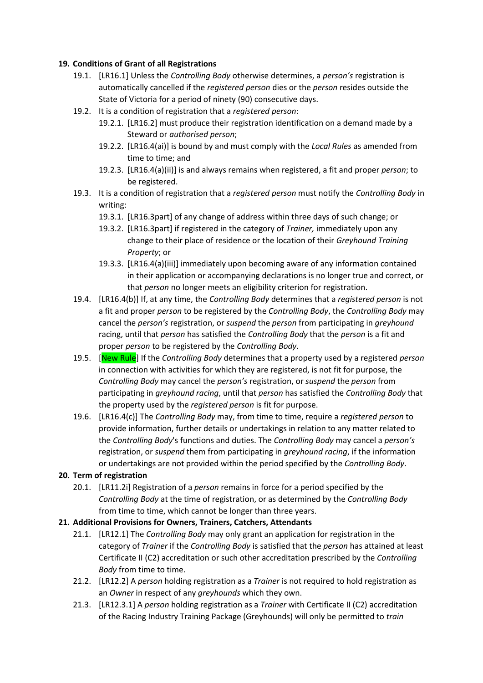#### **19. Conditions of Grant of all Registrations**

- 19.1. [LR16.1] Unless the *Controlling Body* otherwise determines, a *person's* registration is automatically cancelled if the *registered person* dies or the *person* resides outside the State of Victoria for a period of ninety (90) consecutive days.
- 19.2. It is a condition of registration that a *registered person*:
	- 19.2.1. [LR16.2] must produce their registration identification on a demand made by a Steward or *authorised person*;
	- 19.2.2. [LR16.4(ai)] is bound by and must comply with the *Local Rules* as amended from time to time; and
	- 19.2.3. [LR16.4(a)(ii)] is and always remains when registered, a fit and proper *person*; to be registered.
- 19.3. It is a condition of registration that a *registered person* must notify the *Controlling Body* in writing:
	- 19.3.1. [LR16.3part] of any change of address within three days of such change; or
	- 19.3.2. [LR16.3part] if registered in the category of *Trainer,* immediately upon any change to their place of residence or the location of their *Greyhound Training Property*; or
	- 19.3.3. [LR16.4(a)(iii)] immediately upon becoming aware of any information contained in their application or accompanying declarations is no longer true and correct, or that *person* no longer meets an eligibility criterion for registration.
- 19.4. [LR16.4(b)] If, at any time, the *Controlling Body* determines that a *registered person* is not a fit and proper *person* to be registered by the *Controlling Body*, the *Controlling Body* may cancel the *person's* registration, or *suspend* the *person* from participating in *greyhound* racing, until that *person* has satisfied the *Controlling Body* that the *person* is a fit and proper *person* to be registered by the *Controlling Body*.
- 19.5. [New Rule] If the *Controlling Body* determines that a property used by a registered *person* in connection with activities for which they are registered, is not fit for purpose, the *Controlling Body* may cancel the *person's* registration, or *suspend* the *person* from participating in *greyhound racing*, until that *person* has satisfied the *Controlling Body* that the property used by the *registered person* is fit for purpose.
- 19.6. [LR16.4(c)] The *Controlling Body* may, from time to time, require a *registered person* to provide information, further details or undertakings in relation to any matter related to the *Controlling Body*'s functions and duties. The *Controlling Body* may cancel a *person's* registration, or *suspend* them from participating in *greyhound racing*, if the information or undertakings are not provided within the period specified by the *Controlling Body*.

#### **20. Term of registration**

20.1. [LR11.2i] Registration of a *person* remains in force for a period specified by the *Controlling Body* at the time of registration, or as determined by the *Controlling Body* from time to time, which cannot be longer than three years.

#### **21. Additional Provisions for Owners, Trainers, Catchers, Attendants**

- 21.1. [LR12.1] The *Controlling Body* may only grant an application for registration in the category of *Trainer* if the *Controlling Body* is satisfied that the *person* has attained at least Certificate II (C2) accreditation or such other accreditation prescribed by the *Controlling Body* from time to time.
- 21.2. [LR12.2] A *person* holding registration as a *Trainer* is not required to hold registration as an *Owner* in respect of any *greyhounds* which they own.
- 21.3. [LR12.3.1] A *person* holding registration as a *Trainer* with Certificate II (C2) accreditation of the Racing Industry Training Package (Greyhounds) will only be permitted to *train*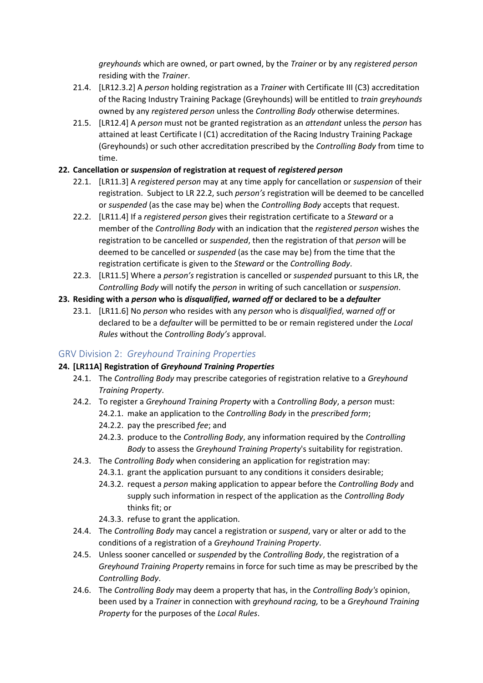*greyhounds* which are owned, or part owned, by the *Trainer* or by any *registered person* residing with the *Trainer*.

- 21.4. [LR12.3.2] A *person* holding registration as a *Trainer* with Certificate III (C3) accreditation of the Racing Industry Training Package (Greyhounds) will be entitled to *train greyhounds* owned by any *registered person* unless the *Controlling Body* otherwise determines.
- 21.5. [LR12.4] A *person* must not be granted registration as an *attendant* unless the *person* has attained at least Certificate I (C1) accreditation of the Racing Industry Training Package (Greyhounds) or such other accreditation prescribed by the *Controlling Body* from time to time.

#### **22. Cancellation or** *suspension* **of registration at request of** *registered person*

- 22.1. [LR11.3] A *registered person* may at any time apply for cancellation or *suspension* of their registration. Subject to LR [22.2,](#page-12-1) such *person's* registration will be deemed to be cancelled or *suspended* (as the case may be) when the *Controlling Body* accepts that request.
- <span id="page-12-1"></span>22.2. [LR11.4] If a *registered person* gives their registration certificate to a *Steward* or a member of the *Controlling Body* with an indication that the *registered person* wishes the registration to be cancelled or *suspended*, then the registration of that *person* will be deemed to be cancelled or *suspended* (as the case may be) from the time that the registration certificate is given to the *Steward* or the *Controlling Body*.
- 22.3. [LR11.5] Where a *person's* registration is cancelled or *suspended* pursuant to this LR, the *Controlling Body* will notify the *person* in writing of such cancellation or *suspension*.

#### **23. Residing with a** *person* **who is** *disqualified***,** *warned off* **or declared to be a** *defaulter*

23.1. [LR11.6] No *person* who resides with any *person* who is *disqualified*, w*arned off* or declared to be a d*efaulter* will be permitted to be or remain registered under the *Local Rules* without the *Controlling Body's* approval.

#### <span id="page-12-0"></span>GRV Division 2: *Greyhound Training Properties*

#### **24. [LR11A] Registration of** *Greyhound Training Properties*

- 24.1. The *Controlling Body* may prescribe categories of registration relative to a *Greyhound Training Property*.
- 24.2. To register a *Greyhound Training Property* with a *Controlling Body*, a *person* must: 24.2.1. make an application to the *Controlling Body* in the *prescribed form*;
	- 24.2.2. pay the prescribed *fee*; and
	- 24.2.3. produce to the *Controlling Body*, any information required by the *Controlling Body* to assess the *Greyhound Training Property*'s suitability for registration.
- 24.3. The *Controlling Body* when considering an application for registration may:
	- 24.3.1. grant the application pursuant to any conditions it considers desirable;
	- 24.3.2. request a *person* making application to appear before the *Controlling Body* and supply such information in respect of the application as the *Controlling Body* thinks fit; or
	- 24.3.3. refuse to grant the application.
- 24.4. The *Controlling Body* may cancel a registration or *suspend*, vary or alter or add to the conditions of a registration of a *Greyhound Training Property*.
- 24.5. Unless sooner cancelled or *suspended* by the *Controlling Body*, the registration of a *Greyhound Training Property* remains in force for such time as may be prescribed by the *Controlling Body*.
- 24.6. The *Controlling Body* may deem a property that has, in the *Controlling Body's* opinion, been used by a *Trainer* in connection with *greyhound racing,* to be a *Greyhound Training Property* for the purposes of the *Local Rules*.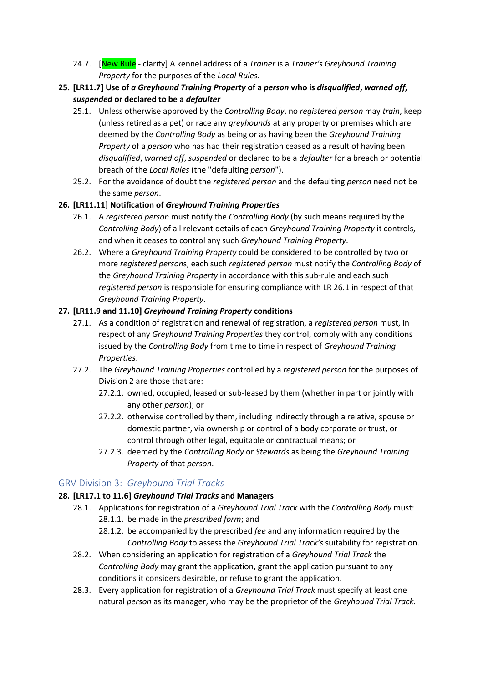- 24.7. [New Rule clarity] A kennel address of a *Trainer* is a *Trainer's Greyhound Training Property* for the purposes of the *Local Rules*.
- **25. [LR11.7] Use of** *a Greyhound Training Property* **of a** *person* **who is** *disqualified***,** *warned off***,**  *suspended* **or declared to be a** *defaulter*
	- 25.1. Unless otherwise approved by the *Controlling Body*, no *registered person* may *train*, keep (unless retired as a pet) or race any *greyhounds* at any property or premises which are deemed by the *Controlling Body* as being or as having been the *Greyhound Training Property* of a *person* who has had their registration ceased as a result of having been *disqualified*, *warned off*, *suspended* or declared to be a *defaulter* for a breach or potential breach of the *Local Rules* (the "defaulting *person*").
	- 25.2. For the avoidance of doubt the *registered person* and the defaulting *person* need not be the same *person*.

#### <span id="page-13-1"></span>**26. [LR11.11] Notification of** *Greyhound Training Properties*

- 26.1. A *registered person* must notify the *Controlling Body* (by such means required by the *Controlling Body*) of all relevant details of each *Greyhound Training Property* it controls, and when it ceases to control any such *Greyhound Training Property*.
- 26.2. Where a *Greyhound Training Property* could be considered to be controlled by two or more *registered person*s, each such *registered person* must notify the *Controlling Body* of the *Greyhound Training Property* in accordance with this sub-rule and each such *registered person* is responsible for ensuring compliance with LR [26.1](#page-13-1) in respect of that *Greyhound Training Property*.

#### **27. [LR11.9 and 11.10]** *Greyhound Training Property* **conditions**

- 27.1. As a condition of registration and renewal of registration, a *registered person* must, in respect of any *Greyhound Training Properties* they control, comply with any conditions issued by the *Controlling Body* from time to time in respect of *Greyhound Training Properties*.
- 27.2. The *Greyhound Training Properties* controlled by a *registered person* for the purposes of Division 2 are those that are:
	- 27.2.1. owned, occupied, leased or sub-leased by them (whether in part or jointly with any other *person*); or
	- 27.2.2. otherwise controlled by them, including indirectly through a relative, spouse or domestic partner, via ownership or control of a body corporate or trust, or control through other legal, equitable or contractual means; or
	- 27.2.3. deemed by the *Controlling Body* or *Stewards* as being the *Greyhound Training Property* of that *person*.

#### <span id="page-13-0"></span>GRV Division 3: *Greyhound Trial Tracks*

#### <span id="page-13-2"></span>**28. [LR17.1 to 11.6]** *Greyhound Trial Tracks* **and Managers**

- 28.1. Applications for registration of a *Greyhound Trial Track* with the *Controlling Body* must: 28.1.1. be made in the *prescribed form*; and
	- 28.1.2. be accompanied by the prescribed *fee* and any information required by the *Controlling Body* to assess the *Greyhound Trial Track's* suitability for registration.
- 28.2. When considering an application for registration of a *Greyhound Trial Track* the *Controlling Body* may grant the application, grant the application pursuant to any conditions it considers desirable, or refuse to grant the application.
- 28.3. Every application for registration of a *Greyhound Trial Track* must specify at least one natural *person* as its manager, who may be the proprietor of the *Greyhound Trial Track*.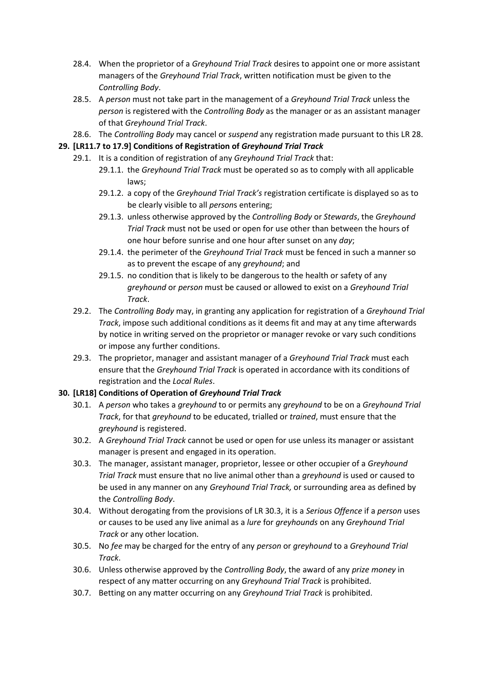- 28.4. When the proprietor of a *Greyhound Trial Track* desires to appoint one or more assistant managers of the *Greyhound Trial Track*, written notification must be given to the *Controlling Body*.
- 28.5. A *person* must not take part in the management of a *Greyhound Trial Track* unless the *person* is registered with the *Controlling Body* as the manager or as an assistant manager of that *Greyhound Trial Track*.
- 28.6. The *Controlling Body* may cancel or *suspend* any registration made pursuant to this LR [28.](#page-13-2)

#### **29. [LR11.7 to 17.9] Conditions of Registration of** *Greyhound Trial Track*

- 29.1. It is a condition of registration of any *Greyhound Trial Track* that:
	- 29.1.1. the *Greyhound Trial Track* must be operated so as to comply with all applicable laws;
	- 29.1.2. a copy of the *Greyhound Trial Track's* registration certificate is displayed so as to be clearly visible to all *person*s entering;
	- 29.1.3. unless otherwise approved by the *Controlling Body* or *Stewards*, the *Greyhound Trial Track* must not be used or open for use other than between the hours of one hour before sunrise and one hour after sunset on any *day*;
	- 29.1.4. the perimeter of the *Greyhound Trial Track* must be fenced in such a manner so as to prevent the escape of any *greyhound*; and
	- 29.1.5. no condition that is likely to be dangerous to the health or safety of any *greyhound* or *person* must be caused or allowed to exist on a *Greyhound Trial Track*.
- 29.2. The *Controlling Body* may, in granting any application for registration of a *Greyhound Trial Track*, impose such additional conditions as it deems fit and may at any time afterwards by notice in writing served on the proprietor or manager revoke or vary such conditions or impose any further conditions.
- 29.3. The proprietor, manager and assistant manager of a *Greyhound Trial Track* must each ensure that the *Greyhound Trial Track* is operated in accordance with its conditions of registration and the *Local Rules*.

#### **30. [LR18] Conditions of Operation of** *Greyhound Trial Track*

- 30.1. A *person* who takes a *greyhound* to or permits any *greyhound* to be on a *Greyhound Trial Track*, for that *greyhound* to be educated, trialled or *trained*, must ensure that the *greyhound* is registered.
- 30.2. A *Greyhound Trial Track* cannot be used or open for use unless its manager or assistant manager is present and engaged in its operation.
- <span id="page-14-0"></span>30.3. The manager, assistant manager, proprietor, lessee or other occupier of a *Greyhound Trial Track* must ensure that no live animal other than a *greyhound* is used or caused to be used in any manner on any *Greyhound Trial Track,* or surrounding area as defined by the *Controlling Body*.
- 30.4. Without derogating from the provisions of LR [30.3,](#page-14-0) it is a *Serious Offence* if a *person* uses or causes to be used any live animal as a *lure* for *greyhounds* on any *Greyhound Trial Track* or any other location.
- 30.5. No *fee* may be charged for the entry of any *person* or *greyhound* to a *Greyhound Trial Track*.
- 30.6. Unless otherwise approved by the *Controlling Body*, the award of any *prize money* in respect of any matter occurring on any *Greyhound Trial Track* is prohibited.
- 30.7. Betting on any matter occurring on any *Greyhound Trial Track* is prohibited.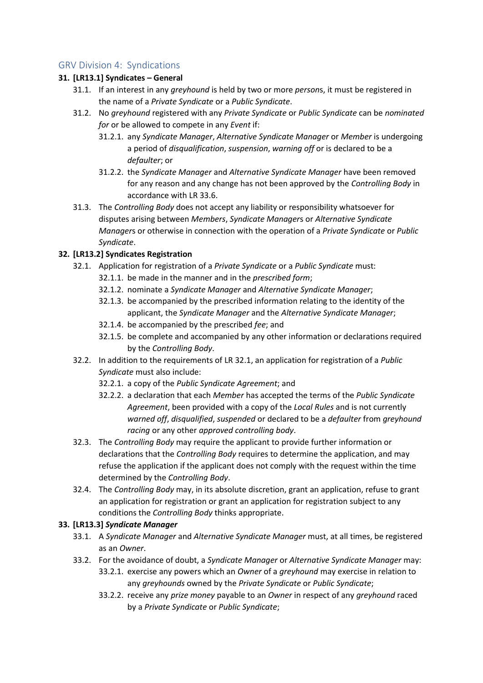#### <span id="page-15-0"></span>GRV Division 4: Syndications

#### **31. [LR13.1] Syndicates – General**

- 31.1. If an interest in any *greyhound* is held by two or more *person*s, it must be registered in the name of a *Private Syndicate* or a *Public Syndicate*.
- 31.2. No *greyhound* registered with any *Private Syndicate* or *Public Syndicate* can be *nominated for* or be allowed to compete in any *Event* if:
	- 31.2.1. any *Syndicate Manager*, *Alternative Syndicate Manager* or *Member* is undergoing a period of *disqualification*, *suspension*, *warning off* or is declared to be a *defaulter*; or
	- 31.2.2. the *Syndicate Manager* and *Alternative Syndicate Manager* have been removed for any reason and any change has not been approved by the *Controlling Body* in accordance with LR [33.6.](#page-16-0)
- 31.3. The *Controlling Body* does not accept any liability or responsibility whatsoever for disputes arising between *Members*, *Syndicate Manager*s or *Alternative Syndicate Manager*s or otherwise in connection with the operation of a *Private Syndicate* or *Public Syndicate*.

#### <span id="page-15-1"></span>**32. [LR13.2] Syndicates Registration**

- 32.1. Application for registration of a *Private Syndicate* or a *Public Syndicate* must:
	- 32.1.1. be made in the manner and in the *prescribed form*;
	- 32.1.2. nominate a *Syndicate Manager* and *Alternative Syndicate Manager*;
	- 32.1.3. be accompanied by the prescribed information relating to the identity of the applicant, the *Syndicate Manager* and the *Alternative Syndicate Manager*;
	- 32.1.4. be accompanied by the prescribed *fee*; and
	- 32.1.5. be complete and accompanied by any other information or declarations required by the *Controlling Body*.
- 32.2. In addition to the requirements of LR [32.1,](#page-15-1) an application for registration of a *Public Syndicate* must also include:
	- 32.2.1. a copy of the *Public Syndicate Agreement*; and
	- 32.2.2. a declaration that each *Member* has accepted the terms of the *Public Syndicate Agreement*, been provided with a copy of the *Local Rules* and is not currently *warned off*, *disqualified*, *suspended* or declared to be a *defaulter* from *greyhound racing* or any other *approved controlling body*.
- 32.3. The *Controlling Body* may require the applicant to provide further information or declarations that the *Controlling Body* requires to determine the application, and may refuse the application if the applicant does not comply with the request within the time determined by the *Controlling Body*.
- 32.4. The *Controlling Body* may, in its absolute discretion, grant an application, refuse to grant an application for registration or grant an application for registration subject to any conditions the *Controlling Body* thinks appropriate.

#### **33. [LR13.3]** *Syndicate Manager*

- 33.1. A *Syndicate Manager* and *Alternative Syndicate Manager* must, at all times, be registered as an *Owner*.
- 33.2. For the avoidance of doubt, a *Syndicate Manager* or *Alternative Syndicate Manager* may:
	- 33.2.1. exercise any powers which an *Owner* of a *greyhound* may exercise in relation to any *greyhounds* owned by the *Private Syndicate* or *Public Syndicate*;
	- 33.2.2. receive any *prize money* payable to an *Owner* in respect of any *greyhound* raced by a *Private Syndicate* or *Public Syndicate*;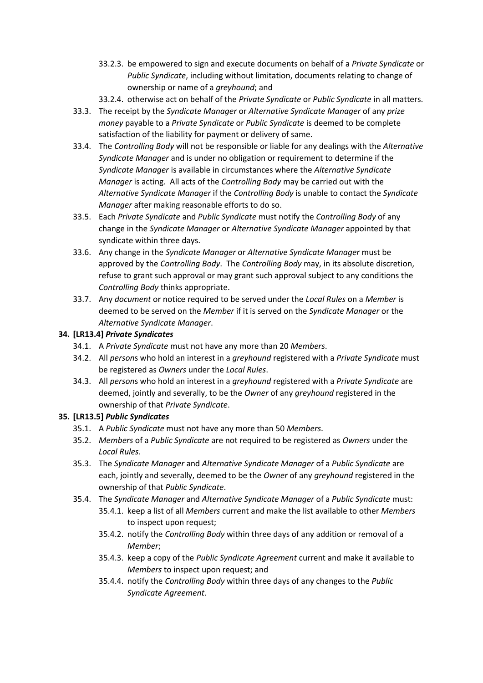- 33.2.3. be empowered to sign and execute documents on behalf of a *Private Syndicate* or *Public Syndicate*, including without limitation, documents relating to change of ownership or name of a *greyhound*; and
- 33.2.4. otherwise act on behalf of the *Private Syndicate* or *Public Syndicate* in all matters.
- 33.3. The receipt by the *Syndicate Manager* or *Alternative Syndicate Manager* of any *prize money* payable to a *Private Syndicate* or *Public Syndicate* is deemed to be complete satisfaction of the liability for payment or delivery of same.
- 33.4. The *Controlling Body* will not be responsible or liable for any dealings with the *Alternative Syndicate Manager* and is under no obligation or requirement to determine if the *Syndicate Manager* is available in circumstances where the *Alternative Syndicate Manager* is acting. All acts of the *Controlling Body* may be carried out with the *Alternative Syndicate Manager* if the *Controlling Body* is unable to contact the *Syndicate Manager* after making reasonable efforts to do so.
- 33.5. Each *Private Syndicate* and *Public Syndicate* must notify the *Controlling Body* of any change in the *Syndicate Manager* or *Alternative Syndicate Manager* appointed by that syndicate within three days.
- <span id="page-16-0"></span>33.6. Any change in the *Syndicate Manager* or *Alternative Syndicate Manager* must be approved by the *Controlling Body*. The *Controlling Body* may, in its absolute discretion, refuse to grant such approval or may grant such approval subject to any conditions the *Controlling Body* thinks appropriate.
- 33.7. Any *document* or notice required to be served under the *Local Rules* on a *Member* is deemed to be served on the *Member* if it is served on the *Syndicate Manager* or the *Alternative Syndicate Manager*.

#### **34. [LR13.4]** *Private Syndicates*

- 34.1. A *Private Syndicate* must not have any more than 20 *Members*.
- 34.2. All *person*s who hold an interest in a *greyhound* registered with a *Private Syndicate* must be registered as *Owners* under the *Local Rules*.
- 34.3. All *person*s who hold an interest in a *greyhound* registered with a *Private Syndicate* are deemed, jointly and severally, to be the *Owner* of any *greyhound* registered in the ownership of that *Private Syndicate*.

#### **35. [LR13.5]** *Public Syndicates*

- 35.1. A *Public Syndicate* must not have any more than 50 *Members*.
- 35.2. *Members* of a *Public Syndicate* are not required to be registered as *Owners* under the *Local Rules*.
- 35.3. The *Syndicate Manager* and *Alternative Syndicate Manager* of a *Public Syndicate* are each, jointly and severally, deemed to be the *Owner* of any *greyhound* registered in the ownership of that *Public Syndicate*.
- 35.4. The *Syndicate Manager* and *Alternative Syndicate Manager* of a *Public Syndicate* must:
	- 35.4.1. keep a list of all *Members* current and make the list available to other *Members* to inspect upon request;
	- 35.4.2. notify the *Controlling Body* within three days of any addition or removal of a *Member*;
	- 35.4.3. keep a copy of the *Public Syndicate Agreement* current and make it available to *Members* to inspect upon request; and
	- 35.4.4. notify the *Controlling Body* within three days of any changes to the *Public Syndicate Agreement*.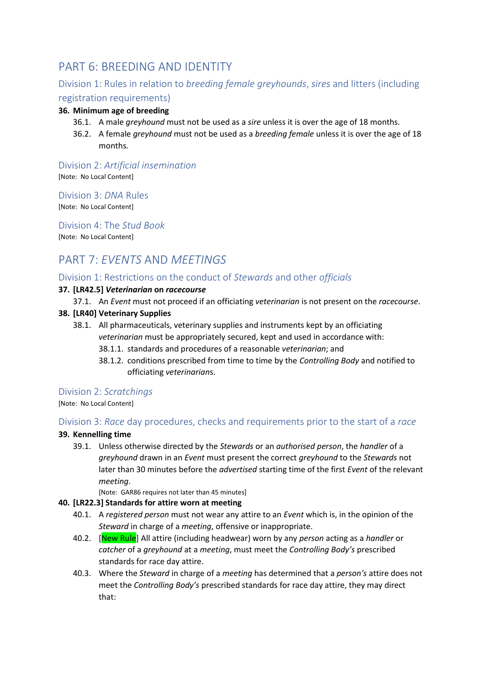# <span id="page-17-0"></span>PART 6: BREEDING AND IDENTITY

## <span id="page-17-1"></span>Division 1: Rules in relation to *breeding female greyhounds*, *sires* and litters (including registration requirements)

#### **36. Minimum age of breeding**

- 36.1. A male *greyhound* must not be used as a *sire* unless it is over the age of 18 months.
- 36.2. A female *greyhound* must not be used as a *breeding female* unless it is over the age of 18 months.

<span id="page-17-2"></span>Division 2: *Artificial insemination* [Note: No Local Content]

<span id="page-17-3"></span>Division 3: *DNA* Rules

[Note: No Local Content]

#### <span id="page-17-4"></span>Division 4: The *Stud Book*

[Note: No Local Content]

# <span id="page-17-5"></span>PART 7: *EVENTS* AND *MEETINGS*

#### <span id="page-17-6"></span>Division 1: Restrictions on the conduct of *Stewards* and other *officials*

#### **37. [LR42.5]** *Veterinarian* **on** *racecourse*

37.1. An *Event* must not proceed if an officiating *veterinarian* is not present on the *racecourse*.

#### **38. [LR40] Veterinary Supplies**

- 38.1. All pharmaceuticals, veterinary supplies and instruments kept by an officiating *veterinarian* must be appropriately secured, kept and used in accordance with:
	- 38.1.1. standards and procedures of a reasonable *veterinarian*; and
	- 38.1.2. conditions prescribed from time to time by the *Controlling Body* and notified to officiating *veterinarian*s.

#### <span id="page-17-7"></span>Division 2: *Scratchings*

[Note: No Local Content]

#### <span id="page-17-8"></span>Division 3: *Race* day procedures, checks and requirements prior to the start of a *race*

#### **39. Kennelling time**

39.1. Unless otherwise directed by the *Stewards* or an *authorised person*, the *handler* of a *greyhound* drawn in an *Event* must present the correct *greyhound* to the *Stewards* not later than 30 minutes before the *advertised* starting time of the first *Event* of the relevant *meeting*.

[Note: GAR86 requires not later than 45 minutes]

#### **40. [LR22.3] Standards for attire worn at meeting**

- 40.1. A *registered person* must not wear any attire to an *Event* which is, in the opinion of the *Steward* in charge of a *meeting*, offensive or inappropriate.
- 40.2. [New Rule] All attire (including headwear) worn by any *person* acting as a *handler* or *catcher* of a *greyhound* at a *meeting*, must meet the *Controlling Body's* prescribed standards for race day attire.
- 40.3. Where the *Steward* in charge of a *meeting* has determined that a *person's* attire does not meet the *Controlling Body's* prescribed standards for race day attire, they may direct that: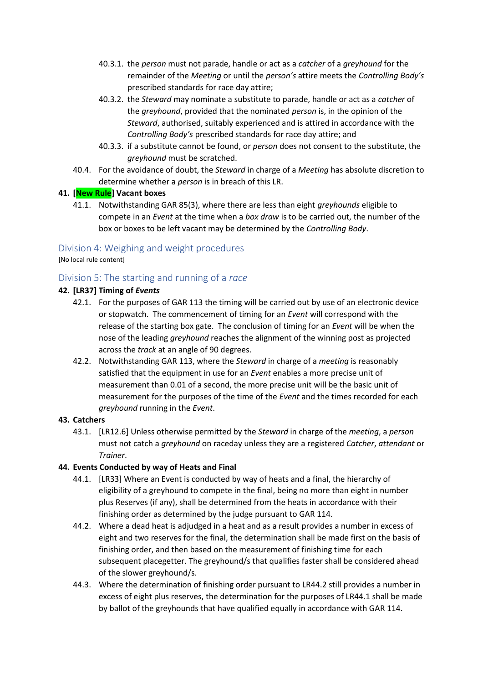- 40.3.1. the *person* must not parade, handle or act as a *catcher* of a *greyhound* for the remainder of the *Meeting* or until the *person's* attire meets the *Controlling Body's* prescribed standards for race day attire;
- 40.3.2. the *Steward* may nominate a substitute to parade, handle or act as a *catcher* of the *greyhound*, provided that the nominated *person* is, in the opinion of the *Steward*, authorised, suitably experienced and is attired in accordance with the *Controlling Body's* prescribed standards for race day attire; and
- 40.3.3. if a substitute cannot be found, or *person* does not consent to the substitute, the *greyhound* must be scratched.
- 40.4. For the avoidance of doubt, the *Steward* in charge of a *Meeting* has absolute discretion to determine whether a *person* is in breach of this LR.

#### **41. [New Rule] Vacant boxes**

41.1. Notwithstanding GAR 85(3), where there are less than eight *greyhounds* eligible to compete in an *Event* at the time when a *box draw* is to be carried out, the number of the box or boxes to be left vacant may be determined by the *Controlling Body*.

#### <span id="page-18-0"></span>Division 4: Weighing and weight procedures

[No local rule content]

#### <span id="page-18-1"></span>Division 5: The starting and running of a *race*

#### **42. [LR37] Timing of** *Events*

- 42.1. For the purposes of GAR 113 the timing will be carried out by use of an electronic device or stopwatch. The commencement of timing for an *Event* will correspond with the release of the starting box gate. The conclusion of timing for an *Event* will be when the nose of the leading *greyhound* reaches the alignment of the winning post as projected across the *track* at an angle of 90 degrees.
- 42.2. Notwithstanding GAR 113, where the *Steward* in charge of a *meeting* is reasonably satisfied that the equipment in use for an *Event* enables a more precise unit of measurement than 0.01 of a second, the more precise unit will be the basic unit of measurement for the purposes of the time of the *Event* and the times recorded for each *greyhound* running in the *Event*.

#### **43. Catchers**

43.1. [LR12.6] Unless otherwise permitted by the *Steward* in charge of the *meeting*, a *person* must not catch a *greyhound* on raceday unless they are a registered *Catcher*, *attendant* or *Trainer*.

#### **44. Events Conducted by way of Heats and Final**

- 44.1. [LR33] Where an Event is conducted by way of heats and a final, the hierarchy of eligibility of a greyhound to compete in the final, being no more than eight in number plus Reserves (if any), shall be determined from the heats in accordance with their finishing order as determined by the judge pursuant to GAR 114.
- 44.2. Where a dead heat is adjudged in a heat and as a result provides a number in excess of eight and two reserves for the final, the determination shall be made first on the basis of finishing order, and then based on the measurement of finishing time for each subsequent placegetter. The greyhound/s that qualifies faster shall be considered ahead of the slower greyhound/s.
- 44.3. Where the determination of finishing order pursuant to LR44.2 still provides a number in excess of eight plus reserves, the determination for the purposes of LR44.1 shall be made by ballot of the greyhounds that have qualified equally in accordance with GAR 114.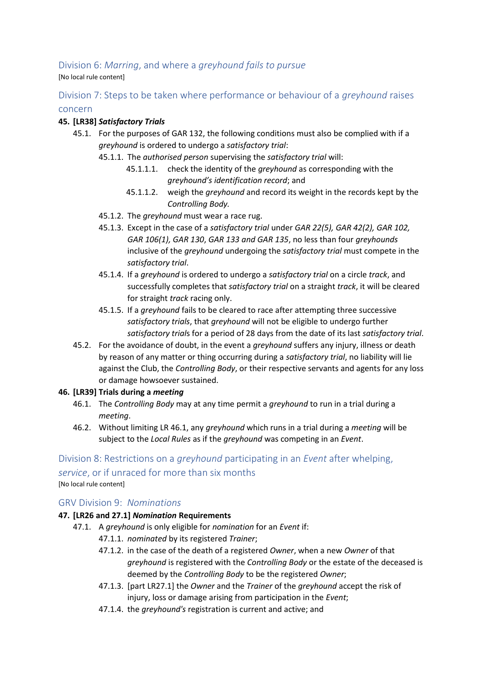## <span id="page-19-0"></span>Division 6: *Marring*, and where a *greyhound fails to pursue*

[No local rule content]

## <span id="page-19-1"></span>Division 7: Steps to be taken where performance or behaviour of a *greyhound* raises

#### concern

#### **45. [LR38]** *Satisfactory Trials*

- 45.1. For the purposes of GAR 132, the following conditions must also be complied with if a *greyhound* is ordered to undergo a *satisfactory trial*:
	- 45.1.1. The *authorised person* supervising the *satisfactory trial* will:
		- 45.1.1.1. check the identity of the *greyhound* as corresponding with the *greyhound's identification record*; and
		- 45.1.1.2. weigh the *greyhound* and record its weight in the records kept by the *Controlling Body.*
	- 45.1.2. The *greyhound* must wear a race rug.
	- 45.1.3. Except in the case of a *satisfactory trial* under *GAR 22(5), GAR 42(2), GAR 102, GAR 106(1), GAR 130*, *GAR 133 and GAR 135*, no less than four *greyhounds* inclusive of the *greyhound* undergoing the *satisfactory trial* must compete in the *satisfactory trial*.
	- 45.1.4. If a *greyhound* is ordered to undergo a *satisfactory trial* on a circle *track*, and successfully completes that *satisfactory trial* on a straight *track*, it will be cleared for straight *track* racing only.
	- 45.1.5. If a *greyhound* fails to be cleared to race after attempting three successive *satisfactory trials*, that *greyhound* will not be eligible to undergo further *satisfactory trial*s for a period of 28 days from the date of its last *satisfactory trial*.
- 45.2. For the avoidance of doubt, in the event a *greyhound* suffers any injury, illness or death by reason of any matter or thing occurring during a *satisfactory trial*, no liability will lie against the Club, the *Controlling Body*, or their respective servants and agents for any loss or damage howsoever sustained.

#### <span id="page-19-4"></span>**46. [LR39] Trials during a** *meeting*

- 46.1. The *Controlling Body* may at any time permit a *greyhound* to run in a trial during a *meeting*.
- 46.2. Without limiting LR [46.1,](#page-19-4) any *greyhound* which runs in a trial during a *meeting* will be subject to the *Local Rules* as if the *greyhound* was competing in an *Event*.

## <span id="page-19-2"></span>Division 8: Restrictions on a *greyhound* participating in an *Event* after whelping, *service*, or if unraced for more than six months [No local rule content]

#### <span id="page-19-3"></span>GRV Division 9: *Nominations*

#### **47. [LR26 and 27.1]** *Nomination* **Requirements**

- 47.1. A *greyhound* is only eligible for *nomination* for an *Event* if:
	- 47.1.1. *nominated* by its registered *Trainer*;
	- 47.1.2. in the case of the death of a registered *Owner*, when a new *Owner* of that *greyhound* is registered with the *Controlling Body* or the estate of the deceased is deemed by the *Controlling Body* to be the registered *Owner*;
	- 47.1.3. [part LR27.1] the *Owner* and the *Trainer* of the *greyhound* accept the risk of injury, loss or damage arising from participation in the *Event*;
	- 47.1.4. the *greyhound's* registration is current and active; and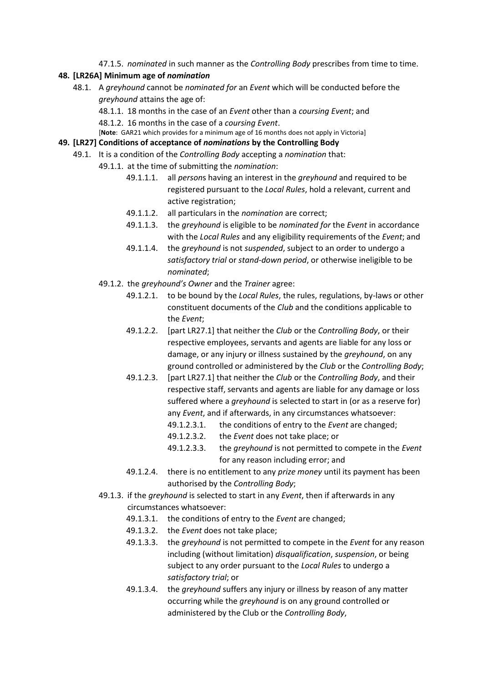47.1.5. *nominated* in such manner as the *Controlling Body* prescribes from time to time.

#### **48. [LR26A] Minimum age of** *nomination*

48.1. A *greyhound* cannot be *nominated for* an *Event* which will be conducted before the *greyhound* attains the age of:

48.1.1. 18 months in the case of an *Event* other than a *coursing Event*; and

48.1.2. 16 months in the case of a *coursing Event*.

[**Note**: GAR21 which provides for a minimum age of 16 months does not apply in Victoria]

#### **49. [LR27] Conditions of acceptance of** *nominations* **by the Controlling Body**

- 49.1. It is a condition of the *Controlling Body* accepting a *nomination* that:
	- 49.1.1. at the time of submitting the *nomination*:
		- 49.1.1.1. all *person*s having an interest in the *greyhound* and required to be registered pursuant to the *Local Rules*, hold a relevant, current and active registration;
		- 49.1.1.2. all particulars in the *nomination* are correct;
		- 49.1.1.3. the *greyhound* is eligible to be *nominated for* the *Event* in accordance with the *Local Rules* and any eligibility requirements of the *Event*; and
		- 49.1.1.4. the *greyhound* is not *suspended*, subject to an order to undergo a *satisfactory trial* or *stand-down period*, or otherwise ineligible to be *nominated*;
	- 49.1.2. the *greyhound's Owner* and the *Trainer* agree:
		- 49.1.2.1. to be bound by the *Local Rules*, the rules, regulations, by-laws or other constituent documents of the *Club* and the conditions applicable to the *Event*;
		- 49.1.2.2. [part LR27.1] that neither the *Club* or the *Controlling Body*, or their respective employees, servants and agents are liable for any loss or damage, or any injury or illness sustained by the *greyhound*, on any ground controlled or administered by the *Club* or the *Controlling Body*;
		- 49.1.2.3. [part LR27.1] that neither the *Club* or the *Controlling Body*, and their respective staff, servants and agents are liable for any damage or loss suffered where a *greyhound* is selected to start in (or as a reserve for) any *Event*, and if afterwards, in any circumstances whatsoever:
			- 49.1.2.3.1. the conditions of entry to the *Event* are changed;
			- 49.1.2.3.2. the *Event* does not take place; or
			- 49.1.2.3.3. the *greyhound* is not permitted to compete in the *Event* for any reason including error; and
		- 49.1.2.4. there is no entitlement to any *prize money* until its payment has been authorised by the *Controlling Body*;
	- 49.1.3. if the *greyhound* is selected to start in any *Event*, then if afterwards in any circumstances whatsoever:
		- 49.1.3.1. the conditions of entry to the *Event* are changed;
		- 49.1.3.2. the *Event* does not take place;
		- 49.1.3.3. the *greyhound* is not permitted to compete in the *Event* for any reason including (without limitation) *disqualification*, *suspension*, or being subject to any order pursuant to the *Local Rules* to undergo a *satisfactory trial*; or
		- 49.1.3.4. the *greyhound* suffers any injury or illness by reason of any matter occurring while the *greyhound* is on any ground controlled or administered by the Club or the *Controlling Body*,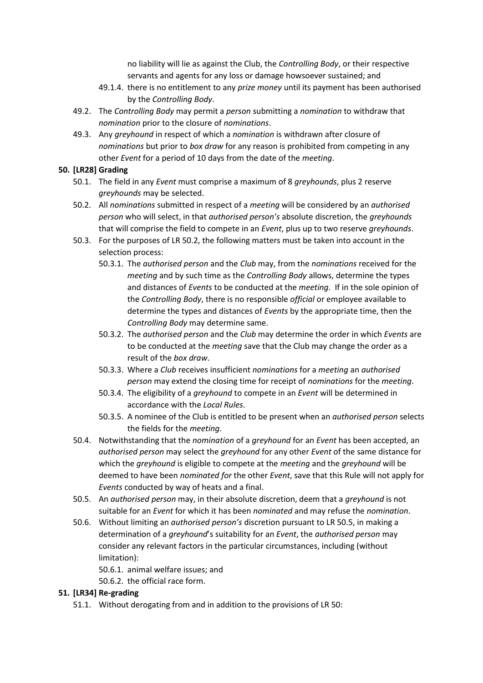no liability will lie as against the Club, the *Controlling Body*, or their respective servants and agents for any loss or damage howsoever sustained; and

- 49.1.4. there is no entitlement to any *prize money* until its payment has been authorised by the *Controlling Body*.
- 49.2. The *Controlling Body* may permit a *person* submitting a *nomination* to withdraw that *nomination* prior to the closure of *nominations*.
- 49.3. Any *greyhound* in respect of which a *nomination* is withdrawn after closure of *nominations* but prior to *box draw* for any reason is prohibited from competing in any other *Event* for a period of 10 days from the date of the *meeting*.

#### <span id="page-21-2"></span>**50. [LR28] Grading**

- 50.1. The field in any *Event* must comprise a maximum of 8 *greyhounds*, plus 2 reserve *greyhounds* may be selected.
- <span id="page-21-0"></span>50.2. All *nominations* submitted in respect of a *meeting* will be considered by an *authorised person* who will select, in that *authorised person's* absolute discretion, the *greyhounds* that will comprise the field to compete in an *Event*, plus up to two reserve *greyhounds*.
- 50.3. For the purposes of LR [50.2,](#page-21-0) the following matters must be taken into account in the selection process:
	- 50.3.1. The *authorised person* and the *Club* may, from the *nominations* received for the *meeting* and by such time as the *Controlling Body* allows, determine the types and distances of *Events* to be conducted at the *meeting*. If in the sole opinion of the *Controlling Body*, there is no responsible *official* or employee available to determine the types and distances of *Events* by the appropriate time, then the *Controlling Body* may determine same.
	- 50.3.2. The *authorised person* and the *Club* may determine the order in which *Events* are to be conducted at the *meeting* save that the Club may change the order as a result of the *box draw*.
	- 50.3.3. Where a *Club* receives insufficient *nominations* for a *meeting* an *authorised person* may extend the closing time for receipt of *nominations* for the *meeting*.
	- 50.3.4. The eligibility of a *greyhound* to compete in an *Event* will be determined in accordance with the *Local Rules*.
	- 50.3.5. A nominee of the Club is entitled to be present when an *authorised person* selects the fields for the *meeting*.
- 50.4. Notwithstanding that the *nomination* of a *greyhound* for an *Event* has been accepted, an *authorised person* may select the *greyhound* for any other *Event* of the same distance for which the *greyhound* is eligible to compete at the *meeting* and the *greyhound* will be deemed to have been *nominated for* the other *Event*, save that this Rule will not apply for *Events* conducted by way of heats and a final.
- <span id="page-21-1"></span>50.5. An *authorised person* may, in their absolute discretion, deem that a *greyhound* is not suitable for an *Event* for which it has been *nominated* and may refuse the *nomination*.
- 50.6. Without limiting an *authorised person's* discretion pursuant to LR [50.5,](#page-21-1) in making a determination of a *greyhound*'s suitability for an *Event*, the *authorised person* may consider any relevant factors in the particular circumstances, including (without limitation):
	- 50.6.1. animal welfare issues; and
	- 50.6.2. the official race form.

#### **51. [LR34] Re-grading**

51.1. Without derogating from and in addition to the provisions of LR [50:](#page-21-2)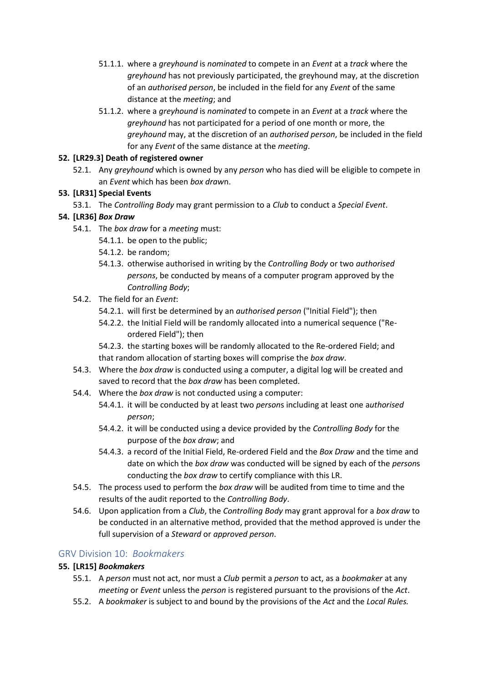- 51.1.1. where a *greyhound* is *nominated* to compete in an *Event* at a *track* where the *greyhound* has not previously participated, the greyhound may, at the discretion of an *authorised person*, be included in the field for any *Event* of the same distance at the *meeting*; and
- 51.1.2. where a *greyhound* is *nominated* to compete in an *Event* at a *track* where the *greyhound* has not participated for a period of one month or more, the *greyhound* may, at the discretion of an *authorised person*, be included in the field for any *Event* of the same distance at the *meeting*.

#### **52. [LR29.3] Death of registered owner**

52.1. Any *greyhound* which is owned by any *person* who has died will be eligible to compete in an *Event* which has been *box draw*n.

#### **53. [LR31] Special Events**

53.1. The *Controlling Body* may grant permission to a *Club* to conduct a *Special Event*.

#### **54. [LR36]** *Box Draw*

- 54.1. The *box draw* for a *meeting* must:
	- 54.1.1. be open to the public;
	- 54.1.2. be random;
	- 54.1.3. otherwise authorised in writing by the *Controlling Body* or two *authorised persons*, be conducted by means of a computer program approved by the *Controlling Body*;
- 54.2. The field for an *Event*:
	- 54.2.1. will first be determined by an *authorised person* ("Initial Field"); then
	- 54.2.2. the Initial Field will be randomly allocated into a numerical sequence ("Reordered Field"); then
	- 54.2.3. the starting boxes will be randomly allocated to the Re-ordered Field; and that random allocation of starting boxes will comprise the *box draw*.
- 54.3. Where the *box draw* is conducted using a computer, a digital log will be created and saved to record that the *box draw* has been completed.
- 54.4. Where the *box draw* is not conducted using a computer:
	- 54.4.1. it will be conducted by at least two *person*s including at least one a*uthorised person*;
	- 54.4.2. it will be conducted using a device provided by the *Controlling Body* for the purpose of the *box draw*; and
	- 54.4.3. a record of the Initial Field, Re-ordered Field and the *Box Draw* and the time and date on which the *box draw* was conducted will be signed by each of the *person*s conducting the *box draw* to certify compliance with this LR.
- 54.5. The process used to perform the *box draw* will be audited from time to time and the results of the audit reported to the *Controlling Body*.
- 54.6. Upon application from a *Club*, the *Controlling Body* may grant approval for a *box draw* to be conducted in an alternative method, provided that the method approved is under the full supervision of a *Steward* or *approved person*.

#### <span id="page-22-0"></span>GRV Division 10: *Bookmakers*

#### **55. [LR15]** *Bookmakers*

- 55.1. A *person* must not act, nor must a *Club* permit a *person* to act, as a *bookmaker* at any *meeting* or *Event* unless the *person* is registered pursuant to the provisions of the *Act*.
- 55.2. A *bookmaker* is subject to and bound by the provisions of the *Act* and the *Local Rules.*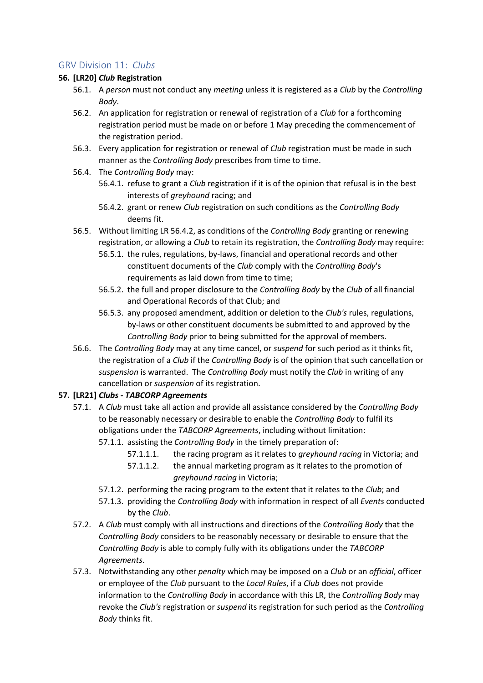#### <span id="page-23-0"></span>GRV Division 11: *Clubs*

#### **56. [LR20]** *Club* **Registration**

- 56.1. A *person* must not conduct any *meeting* unless it is registered as a *Club* by the *Controlling Body*.
- 56.2. An application for registration or renewal of registration of a *Club* for a forthcoming registration period must be made on or before 1 May preceding the commencement of the registration period.
- 56.3. Every application for registration or renewal of *Club* registration must be made in such manner as the *Controlling Body* prescribes from time to time.

#### 56.4. The *Controlling Body* may:

- 56.4.1. refuse to grant a *Club* registration if it is of the opinion that refusal is in the best interests of *greyhound* racing; and
- 56.4.2. grant or renew *Club* registration on such conditions as the *Controlling Body* deems fit.
- <span id="page-23-1"></span>56.5. Without limiting LR [56.4.2,](#page-23-1) as conditions of the *Controlling Body* granting or renewing registration, or allowing a *Club* to retain its registration, the *Controlling Body* may require:
	- 56.5.1. the rules, regulations, by-laws, financial and operational records and other constituent documents of the *Club* comply with the *Controlling Body*'s requirements as laid down from time to time;
	- 56.5.2. the full and proper disclosure to the *Controlling Body* by the *Club* of all financial and Operational Records of that Club; and
	- 56.5.3. any proposed amendment, addition or deletion to the *Club's* rules, regulations, by-laws or other constituent documents be submitted to and approved by the *Controlling Body* prior to being submitted for the approval of members.
- 56.6. The *Controlling Body* may at any time cancel, or *suspend* for such period as it thinks fit, the registration of a *Club* if the *Controlling Body* is of the opinion that such cancellation or *suspension* is warranted. The *Controlling Body* must notify the *Club* in writing of any cancellation or *suspension* of its registration.

#### **57. [LR21]** *Clubs* **-** *TABCORP Agreements*

- 57.1. A *Club* must take all action and provide all assistance considered by the *Controlling Body* to be reasonably necessary or desirable to enable the *Controlling Body* to fulfil its obligations under the *TABCORP Agreements*, including without limitation:
	- 57.1.1. assisting the *Controlling Body* in the timely preparation of:
		- 57.1.1.1. the racing program as it relates to *greyhound racing* in Victoria; and
		- 57.1.1.2. the annual marketing program as it relates to the promotion of *greyhound racing* in Victoria;
	- 57.1.2. performing the racing program to the extent that it relates to the *Club*; and
	- 57.1.3. providing the *Controlling Body* with information in respect of all *Events* conducted by the *Club*.
- 57.2. A *Club* must comply with all instructions and directions of the *Controlling Body* that the *Controlling Body* considers to be reasonably necessary or desirable to ensure that the *Controlling Body* is able to comply fully with its obligations under the *TABCORP Agreements*.
- 57.3. Notwithstanding any other *penalty* which may be imposed on a *Club* or an *official*, officer or employee of the *Club* pursuant to the *Local Rules*, if a *Club* does not provide information to the *Controlling Body* in accordance with this LR, the *Controlling Body* may revoke the *Club's* registration or *suspend* its registration for such period as the *Controlling Body* thinks fit.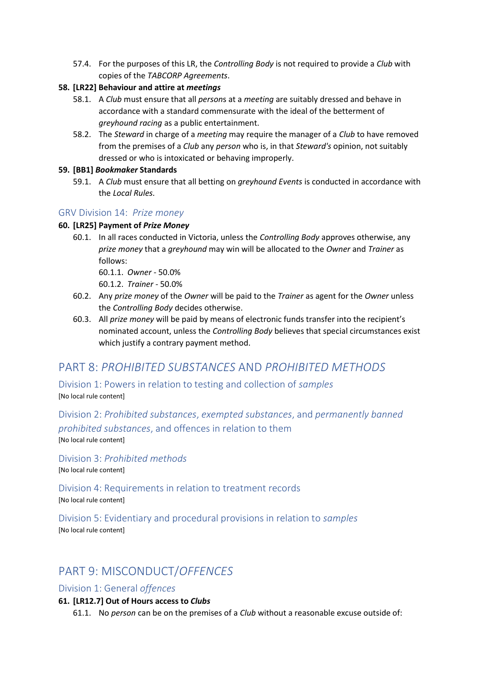57.4. For the purposes of this LR, the *Controlling Body* is not required to provide a *Club* with copies of the *TABCORP Agreements*.

#### **58. [LR22] Behaviour and attire at** *meetings*

- 58.1. A *Club* must ensure that all *person*s at a *meeting* are suitably dressed and behave in accordance with a standard commensurate with the ideal of the betterment of *greyhound racing* as a public entertainment.
- 58.2. The *Steward* in charge of a *meeting* may require the manager of a *Club* to have removed from the premises of a *Club* any *person* who is, in that *Steward's* opinion, not suitably dressed or who is intoxicated or behaving improperly.

#### **59. [BB1]** *Bookmaker* **Standards**

59.1. A *Club* must ensure that all betting on *greyhound Events* is conducted in accordance with the *Local Rules.*

#### <span id="page-24-0"></span>GRV Division 14: *Prize money*

#### **60. [LR25] Payment of** *Prize Money*

- 60.1. In all races conducted in Victoria, unless the *Controlling Body* approves otherwise, any *prize money* that a *greyhound* may win will be allocated to the *Owner* and *Trainer* as follows:
	- 60.1.1. *Owner* 50.0%

60.1.2. *Trainer* - 50.0%

- 60.2. Any *prize money* of the *Owner* will be paid to the *Trainer* as agent for the *Owner* unless the *Controlling Body* decides otherwise.
- 60.3. All *prize money* will be paid by means of electronic funds transfer into the recipient's nominated account, unless the *Controlling Body* believes that special circumstances exist which justify a contrary payment method.

## <span id="page-24-1"></span>PART 8: *PROHIBITED SUBSTANCES* AND *PROHIBITED METHODS*

<span id="page-24-2"></span>Division 1: Powers in relation to testing and collection of *samples* [No local rule content]

<span id="page-24-3"></span>Division 2: *Prohibited substances*, *exempted substances*, and *permanently banned prohibited substances*, and offences in relation to them [No local rule content]

<span id="page-24-4"></span>Division 3: *Prohibited methods*

[No local rule content]

<span id="page-24-5"></span>Division 4: Requirements in relation to treatment records [No local rule content]

<span id="page-24-6"></span>Division 5: Evidentiary and procedural provisions in relation to *samples* [No local rule content]

# <span id="page-24-7"></span>PART 9: MISCONDUCT/*OFFENCES*

<span id="page-24-8"></span>Division 1: General *offences*

#### **61. [LR12.7] Out of Hours access to** *Clubs*

61.1. No *person* can be on the premises of a *Club* without a reasonable excuse outside of: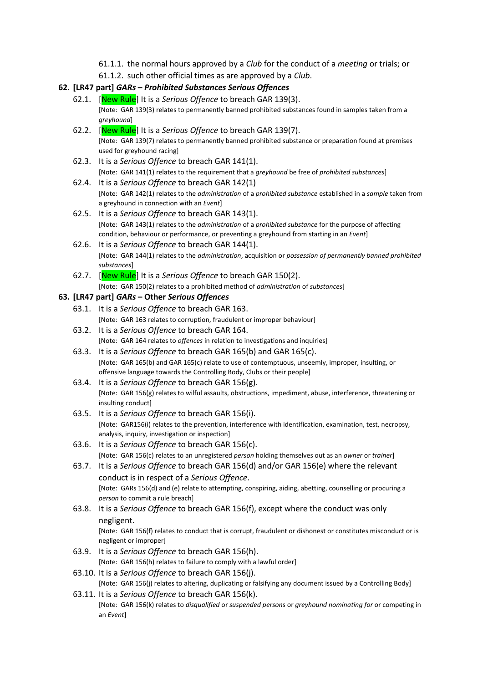61.1.1. the normal hours approved by a *Club* for the conduct of a *meeting* or trials; or 61.1.2. such other official times as are approved by a *Club*.

#### **62. [LR47 part]** *GARs* **–** *Prohibited Substances Serious Offences*

- 62.1. [New Rule] It is a *Serious Offence* to breach GAR 139(3). [Note: GAR 139(3) relates to permanently banned prohibited substances found in samples taken from a *greyhound*]
- 62.2. [New Rule] It is a *Serious Offence* to breach GAR 139(7). [Note: GAR 139(7) relates to permanently banned prohibited substance or preparation found at premises used for greyhound racing]
- 62.3. It is a *Serious Offence* to breach GAR 141(1). [Note: GAR 141(1) relates to the requirement that a *greyhound* be free of *prohibited substances*]
- 62.4. It is a *Serious Offence* to breach GAR 142(1) [Note: GAR 142(1) relates to the *administration* of a *prohibited substance* established in a *sample* taken from a greyhound in connection with an *Event*]
- 62.5. It is a *Serious Offence* to breach GAR 143(1). [Note: GAR 143(1) relates to the *administration* of a *prohibited substance* for the purpose of affecting condition, behaviour or performance, or preventing a greyhound from starting in an *Event*]
- 62.6. It is a *Serious Offence* to breach GAR 144(1). [Note: GAR 144(1) relates to the *administration*, acquisition or *possession of permanently banned prohibited substances*]
- 62.7. [New Rule] It is a *Serious Offence* to breach GAR 150(2). [Note: GAR 150(2) relates to a prohibited method of *administration* of *substances*]

#### **63. [LR47 part]** *GARs* **– Other** *Serious Offences*

- 63.1. It is a *Serious Offence* to breach GAR 163. [Note: GAR 163 relates to corruption, fraudulent or improper behaviour]
- 63.2. It is a *Serious Offence* to breach GAR 164. [Note: GAR 164 relates to *offences* in relation to investigations and inquiries]
- 63.3. It is a *Serious Offence* to breach GAR 165(b) and GAR 165(c). [Note: GAR 165(b) and GAR 165(c) relate to use of contemptuous, unseemly, improper, insulting, or offensive language towards the Controlling Body, Clubs or their people]
- 63.4. It is a *Serious Offence* to breach GAR 156(g). [Note: GAR 156(g) relates to wilful assaults, obstructions, impediment, abuse, interference, threatening or insulting conduct]
- 63.5. It is a *Serious Offence* to breach GAR 156(i). [Note: GAR156(i) relates to the prevention, interference with identification, examination, test, necropsy, analysis, inquiry, investigation or inspection]
- 63.6. It is a *Serious Offence* to breach GAR 156(c). [Note: GAR 156(c) relates to an unregistered *person* holding themselves out as an *owner* or *trainer*]
- 63.7. It is a *Serious Offence* to breach GAR 156(d) and/or GAR 156(e) where the relevant conduct is in respect of a *Serious Offence*. [Note: GARs 156(d) and (e) relate to attempting, conspiring, aiding, abetting, counselling or procuring a *person* to commit a rule breach]
- 63.8. It is a *Serious Offence* to breach GAR 156(f), except where the conduct was only negligent.

[Note: GAR 156(f) relates to conduct that is corrupt, fraudulent or dishonest or constitutes misconduct or is negligent or improper]

- 63.9. It is a *Serious Offence* to breach GAR 156(h). [Note: GAR 156(h) relates to failure to comply with a lawful order]
- 63.10. It is a *Serious Offence* to breach GAR 156(j). [Note: GAR 156(j) relates to altering, duplicating or falsifying any document issued by a Controlling Body]
- 63.11. It is a *Serious Offence* to breach GAR 156(k). [Note: GAR 156(k) relates to *disqualified* or *suspended person*s or *greyhound nominating for* or competing in an *Event*]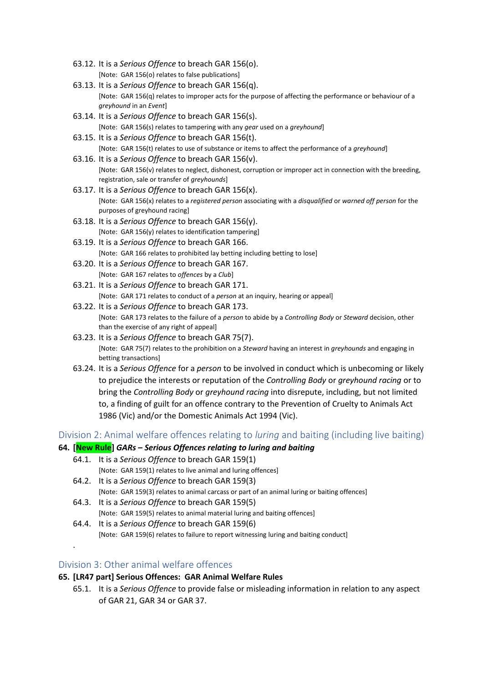- 63.12. It is a *Serious Offence* to breach GAR 156(o). [Note: GAR 156(o) relates to false publications]
- 63.13. It is a *Serious Offence* to breach GAR 156(q). [Note: GAR 156(q) relates to improper acts for the purpose of affecting the performance or behaviour of a *greyhound* in an *Event*]
- 63.14. It is a *Serious Offence* to breach GAR 156(s). [Note: GAR 156(s) relates to tampering with any *gear* used on a *greyhound*]
- 63.15. It is a *Serious Offence* to breach GAR 156(t). [Note: GAR 156(t) relates to use of substance or items to affect the performance of a *greyhound*]
- 63.16. It is a *Serious Offence* to breach GAR 156(v). [Note: GAR 156(v) relates to neglect, dishonest, corruption or improper act in connection with the breeding, registration, sale or transfer of *greyhounds*]
- 63.17. It is a *Serious Offence* to breach GAR 156(x). [Note: GAR 156(x) relates to a *registered person* associating with a *disqualified* or *warned off person* for the purposes of greyhound racing]
- 63.18. It is a *Serious Offence* to breach GAR 156(y). [Note: GAR 156(y) relates to identification tampering]
- 63.19. It is a *Serious Offence* to breach GAR 166. [Note: GAR 166 relates to prohibited lay betting including betting to lose]
- 63.20. It is a *Serious Offence* to breach GAR 167. [Note: GAR 167 relates to *offences* by a *Club*]
- 63.21. It is a *Serious Offence* to breach GAR 171. [Note: GAR 171 relates to conduct of a *person* at an inquiry, hearing or appeal]
- 63.22. It is a *Serious Offence* to breach GAR 173. [Note: GAR 173 relates to the failure of a *person* to abide by a *Controlling Body* or *Steward* decision, other than the exercise of any right of appeal]
- 63.23. It is a *Serious Offence* to breach GAR 75(7). [Note: GAR 75(7) relates to the prohibition on a *Steward* having an interest in *greyhounds* and engaging in betting transactions]
- 63.24. It is a *Serious Offence* for a *person* to be involved in conduct which is unbecoming or likely to prejudice the interests or reputation of the *Controlling Body* or *greyhound racing* or to bring the *Controlling Body* or *greyhound racing* into disrepute, including, but not limited to, a finding of guilt for an offence contrary to the Prevention of Cruelty to Animals Act 1986 (Vic) and/or the Domestic Animals Act 1994 (Vic).

<span id="page-26-0"></span>Division 2: Animal welfare offences relating to *luring* and baiting (including live baiting)

#### **64. [New Rule]** *GARs – Serious Offences relating to luring and baiting*

- 64.1. It is a *Serious Offence* to breach GAR 159(1) [Note: GAR 159(1) relates to live animal and luring offences]
- 64.2. It is a *Serious Offence* to breach GAR 159(3) [Note: GAR 159(3) relates to animal carcass or part of an animal luring or baiting offences]
- 64.3. It is a *Serious Offence* to breach GAR 159(5) [Note: GAR 159(5) relates to animal material luring and baiting offences]
- 64.4. It is a *Serious Offence* to breach GAR 159(6) [Note: GAR 159(6) relates to failure to report witnessing luring and baiting conduct]

#### <span id="page-26-1"></span>Division 3: Other animal welfare offences

.

#### **65. [LR47 part] Serious Offences: GAR Animal Welfare Rules**

65.1. It is a *Serious Offence* to provide false or misleading information in relation to any aspect of GAR 21, GAR 34 or GAR 37.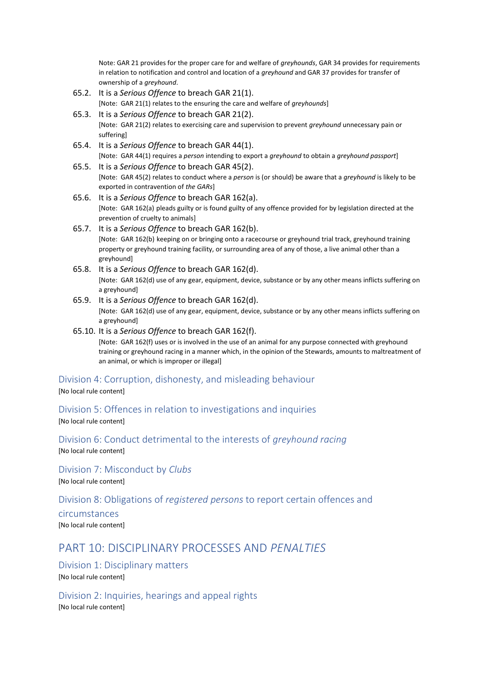Note: GAR 21 provides for the proper care for and welfare of *greyhounds*, GAR 34 provides for requirements in relation to notification and control and location of a *greyhound* and GAR 37 provides for transfer of ownership of a *greyhound*.

- 65.2. It is a *Serious Offence* to breach GAR 21(1). [Note: GAR 21(1) relates to the ensuring the care and welfare of *greyhounds*]
- 65.3. It is a *Serious Offence* to breach GAR 21(2). [Note: GAR 21(2) relates to exercising care and supervision to prevent *greyhound* unnecessary pain or suffering]
- 65.4. It is a *Serious Offence* to breach GAR 44(1). [Note: GAR 44(1) requires a *person* intending to export a *greyhound* to obtain a *greyhound passport*]
- 65.5. It is a *Serious Offence* to breach GAR 45(2). [Note: GAR 45(2) relates to conduct where a *person* is (or should) be aware that a *greyhound* is likely to be exported in contravention of *the GARs*]
- 65.6. It is a *Serious Offence* to breach GAR 162(a). [Note: GAR 162(a) pleads guilty or is found guilty of any offence provided for by legislation directed at the prevention of cruelty to animals]
- 65.7. It is a *Serious Offence* to breach GAR 162(b). [Note: GAR 162(b) keeping on or bringing onto a racecourse or greyhound trial track, greyhound training property or greyhound training facility, or surrounding area of any of those, a live animal other than a greyhound]
- 65.8. It is a *Serious Offence* to breach GAR 162(d). [Note: GAR 162(d) use of any gear, equipment, device, substance or by any other means inflicts suffering on a greyhound]
- 65.9. It is a *Serious Offence* to breach GAR 162(d). [Note: GAR 162(d) use of any gear, equipment, device, substance or by any other means inflicts suffering on a greyhound]
- 65.10. It is a *Serious Offence* to breach GAR 162(f). [Note: GAR 162(f) uses or is involved in the use of an animal for any purpose connected with greyhound training or greyhound racing in a manner which, in the opinion of the Stewards, amounts to maltreatment of an animal, or which is improper or illegal]

#### <span id="page-27-0"></span>Division 4: Corruption, dishonesty, and misleading behaviour

[No local rule content]

<span id="page-27-1"></span>Division 5: Offences in relation to investigations and inquiries [No local rule content]

<span id="page-27-2"></span>Division 6: Conduct detrimental to the interests of *greyhound racing* [No local rule content]

<span id="page-27-3"></span>Division 7: Misconduct by *Clubs* [No local rule content]

#### <span id="page-27-4"></span>Division 8: Obligations of *registered persons* to report certain offences and

circumstances [No local rule content]

## <span id="page-27-5"></span>PART 10: DISCIPLINARY PROCESSES AND *PENALTIES*

<span id="page-27-6"></span>Division 1: Disciplinary matters [No local rule content]

<span id="page-27-7"></span>Division 2: Inquiries, hearings and appeal rights [No local rule content]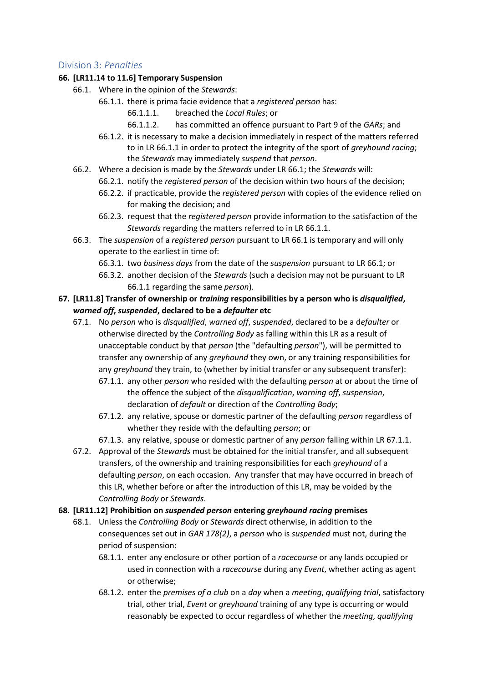#### <span id="page-28-0"></span>Division 3: *Penalties*

#### <span id="page-28-2"></span>**66. [LR11.14 to 11.6] Temporary Suspension**

- <span id="page-28-1"></span>66.1. Where in the opinion of the *Stewards*:
	- 66.1.1. there is prima facie evidence that a *registered person* has:
		- 66.1.1.1. breached the *Local Rules*; or
		- 66.1.1.2. has committed an offence pursuant to Part 9 of the *GARs*; and
	- 66.1.2. it is necessary to make a decision immediately in respect of the matters referred to in LR [66.1.1](#page-28-1) in order to protect the integrity of the sport of *greyhound racing*; the *Stewards* may immediately *suspend* that *person*.
- 66.2. Where a decision is made by the *Stewards* under LR [66.1;](#page-28-2) the *Stewards* will:
	- 66.2.1. notify the *registered person* of the decision within two hours of the decision;
	- 66.2.2. if practicable, provide the *registered person* with copies of the evidence relied on for making the decision; and
	- 66.2.3. request that the *registered person* provide information to the satisfaction of the *Stewards* regarding the matters referred to in LR [66.1.1.](#page-28-1)
- 66.3. The *suspension* of a *registered person* pursuant to L[R 66.1](#page-28-2) is temporary and will only operate to the earliest in time of:
	- 66.3.1. two *business days* from the date of the *suspension* pursuant to LR [66.1;](#page-28-2) or
	- 66.3.2. another decision of the *Stewards* (such a decision may not be pursuant to LR [66.1.1](#page-28-1) regarding the same *person*).
- <span id="page-28-3"></span>**67. [LR11.8] Transfer of ownership or** *training* **responsibilities by a person who is** *disqualified***,** *warned off***,** *suspended***, declared to be a** *defaulter* **etc**
	- 67.1. No *person* who is *disqualified*, *warned off*, s*uspended*, declared to be a d*efaulter* or otherwise directed by the *Controlling Body* as falling within this LR as a result of unacceptable conduct by that *person* (the "defaulting *person*"), will be permitted to transfer any ownership of any *greyhound* they own, or any training responsibilities for any *greyhound* they train, to (whether by initial transfer or any subsequent transfer): 67.1.1. any other *person* who resided with the defaulting *person* at or about the time of
		- the offence the subject of the *disqualification*, *warning off*, *suspension*, declaration of *default* or direction of the *Controlling Body*;
		- 67.1.2. any relative, spouse or domestic partner of the defaulting *person* regardless of whether they reside with the defaulting *person*; or
		- 67.1.3. any relative, spouse or domestic partner of any *person* falling within L[R 67.1.1.](#page-28-3)
	- 67.2. Approval of the *Stewards* must be obtained for the initial transfer, and all subsequent transfers, of the ownership and training responsibilities for each *greyhound* of a defaulting *person*, on each occasion. Any transfer that may have occurred in breach of this LR, whether before or after the introduction of this LR, may be voided by the *Controlling Body* or *Stewards*.

#### **68. [LR11.12] Prohibition on** *suspended person* **entering** *greyhound racing* **premises**

- 68.1. Unless the *Controlling Body* or *Stewards* direct otherwise, in addition to the consequences set out in *GAR 178(2)*, a *person* who is *suspended* must not, during the period of suspension:
	- 68.1.1. enter any enclosure or other portion of a *racecourse* or any lands occupied or used in connection with a *racecourse* during any *Event*, whether acting as agent or otherwise;
	- 68.1.2. enter the *premises of a club* on a *day* when a *meeting*, *qualifying trial*, satisfactory trial, other trial, *Event* or *greyhound* training of any type is occurring or would reasonably be expected to occur regardless of whether the *meeting*, *qualifying*